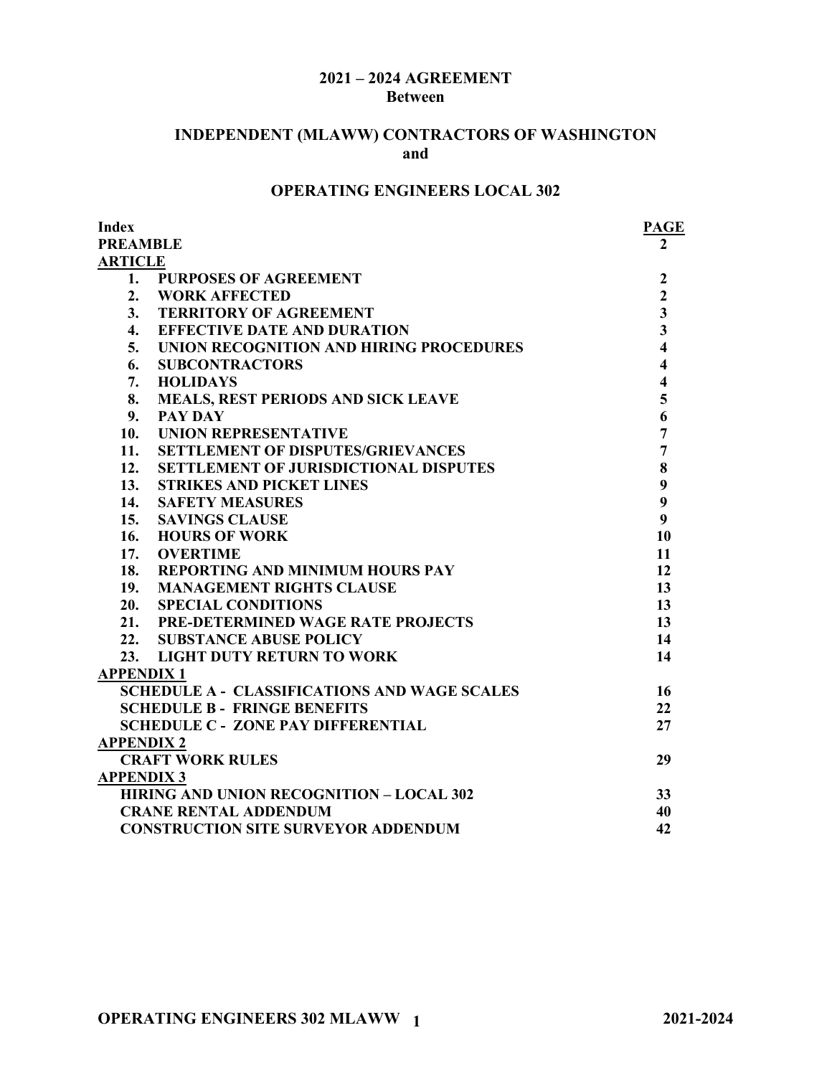### **2021 – 2024 AGREEMENT Between**

## **INDEPENDENT (MLAWW) CONTRACTORS OF WASHINGTON and**

# **OPERATING ENGINEERS LOCAL 302**

| Index             |                                                     | <b>PAGE</b>             |
|-------------------|-----------------------------------------------------|-------------------------|
| <b>PREAMBLE</b>   |                                                     |                         |
| <b>ARTICLE</b>    |                                                     |                         |
| 1.                | <b>PURPOSES OF AGREEMENT</b>                        | $\overline{2}$          |
| 2.                | <b>WORK AFFECTED</b>                                | $\overline{2}$          |
| 3.                | <b>TERRITORY OF AGREEMENT</b>                       | $\overline{\mathbf{3}}$ |
| 4.                | <b>EFFECTIVE DATE AND DURATION</b>                  | $\overline{\mathbf{3}}$ |
| 5.                | UNION RECOGNITION AND HIRING PROCEDURES             | $\overline{\mathbf{4}}$ |
| 6.                | <b>SUBCONTRACTORS</b>                               | $\overline{\mathbf{4}}$ |
| 7.                | <b>HOLIDAYS</b>                                     | $\overline{\mathbf{4}}$ |
| 8.                | MEALS, REST PERIODS AND SICK LEAVE                  | 5                       |
| 9.                | <b>PAY DAY</b>                                      | 6                       |
| 10.               | <b>UNION REPRESENTATIVE</b>                         | $\overline{7}$          |
| 11.               | <b>SETTLEMENT OF DISPUTES/GRIEVANCES</b>            | $\overline{7}$          |
| 12.               | <b>SETTLEMENT OF JURISDICTIONAL DISPUTES</b>        | 8                       |
| 13.               | <b>STRIKES AND PICKET LINES</b>                     | 9                       |
| 14.               | <b>SAFETY MEASURES</b>                              | 9                       |
| 15.               | <b>SAVINGS CLAUSE</b>                               | $\boldsymbol{9}$        |
| 16.               | <b>HOURS OF WORK</b>                                | 10                      |
| 17.               | <b>OVERTIME</b>                                     | 11                      |
|                   | 18. REPORTING AND MINIMUM HOURS PAY                 | 12                      |
| <b>19.</b>        | <b>MANAGEMENT RIGHTS CLAUSE</b>                     | 13                      |
| 20.               | <b>SPECIAL CONDITIONS</b>                           | 13                      |
|                   | 21. PRE-DETERMINED WAGE RATE PROJECTS               | 13                      |
| 22.               | <b>SUBSTANCE ABUSE POLICY</b>                       | 14                      |
|                   | 23. LIGHT DUTY RETURN TO WORK                       | 14                      |
| <b>APPENDIX1</b>  |                                                     |                         |
|                   | <b>SCHEDULE A - CLASSIFICATIONS AND WAGE SCALES</b> | 16                      |
|                   | <b>SCHEDULE B - FRINGE BENEFITS</b>                 | 22                      |
|                   | <b>SCHEDULE C - ZONE PAY DIFFERENTIAL</b>           | 27                      |
| <b>APPENDIX 2</b> |                                                     |                         |
|                   | <b>CRAFT WORK RULES</b>                             | 29                      |
| <b>APPENDIX 3</b> |                                                     |                         |
|                   | <b>HIRING AND UNION RECOGNITION - LOCAL 302</b>     | 33                      |
|                   | <b>CRANE RENTAL ADDENDUM</b>                        | 40                      |
|                   | <b>CONSTRUCTION SITE SURVEYOR ADDENDUM</b>          | 42                      |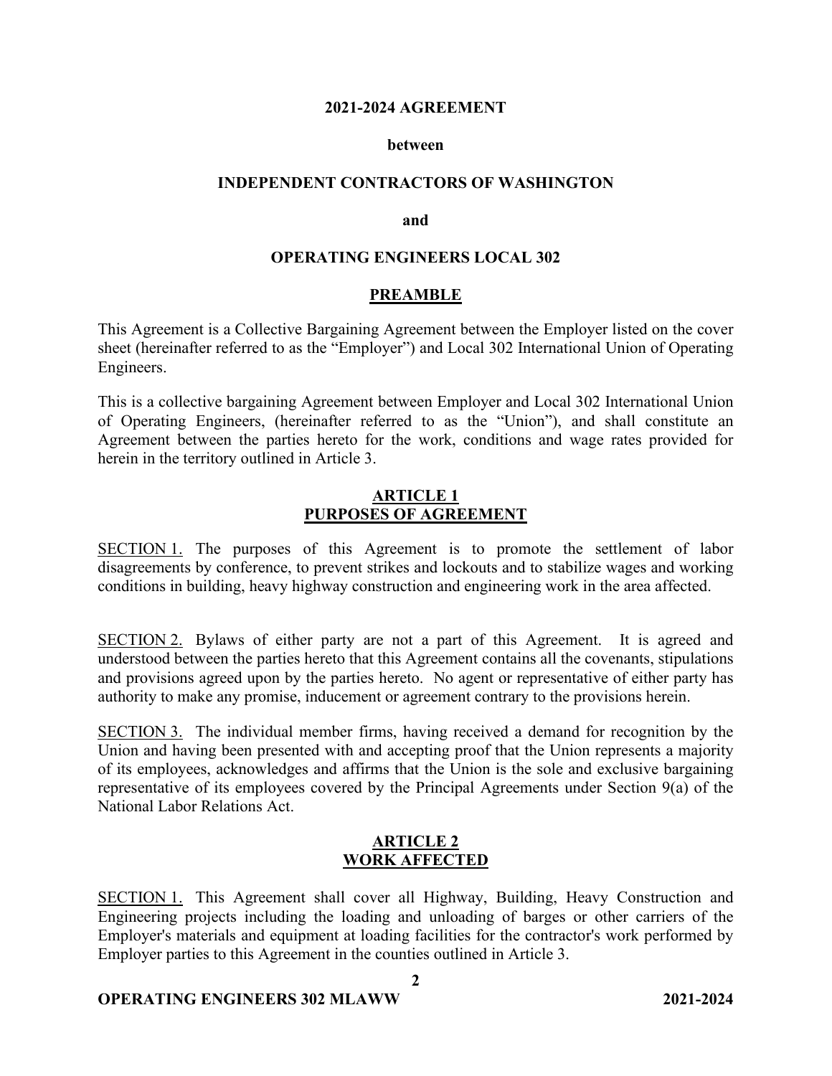### **2021-2024 AGREEMENT**

#### **between**

### **INDEPENDENT CONTRACTORS OF WASHINGTON**

#### **and**

### **OPERATING ENGINEERS LOCAL 302**

### **PREAMBLE**

This Agreement is a Collective Bargaining Agreement between the Employer listed on the cover sheet (hereinafter referred to as the "Employer") and Local 302 International Union of Operating Engineers.

This is a collective bargaining Agreement between Employer and Local 302 International Union of Operating Engineers, (hereinafter referred to as the "Union"), and shall constitute an Agreement between the parties hereto for the work, conditions and wage rates provided for herein in the territory outlined in Article 3.

### **ARTICLE 1 PURPOSES OF AGREEMENT**

SECTION 1. The purposes of this Agreement is to promote the settlement of labor disagreements by conference, to prevent strikes and lockouts and to stabilize wages and working conditions in building, heavy highway construction and engineering work in the area affected.

SECTION 2. Bylaws of either party are not a part of this Agreement. It is agreed and understood between the parties hereto that this Agreement contains all the covenants, stipulations and provisions agreed upon by the parties hereto. No agent or representative of either party has authority to make any promise, inducement or agreement contrary to the provisions herein.

SECTION 3. The individual member firms, having received a demand for recognition by the Union and having been presented with and accepting proof that the Union represents a majority of its employees, acknowledges and affirms that the Union is the sole and exclusive bargaining representative of its employees covered by the Principal Agreements under Section 9(a) of the National Labor Relations Act.

### **ARTICLE 2 WORK AFFECTED**

SECTION 1. This Agreement shall cover all Highway, Building, Heavy Construction and Engineering projects including the loading and unloading of barges or other carriers of the Employer's materials and equipment at loading facilities for the contractor's work performed by Employer parties to this Agreement in the counties outlined in Article 3.

**2**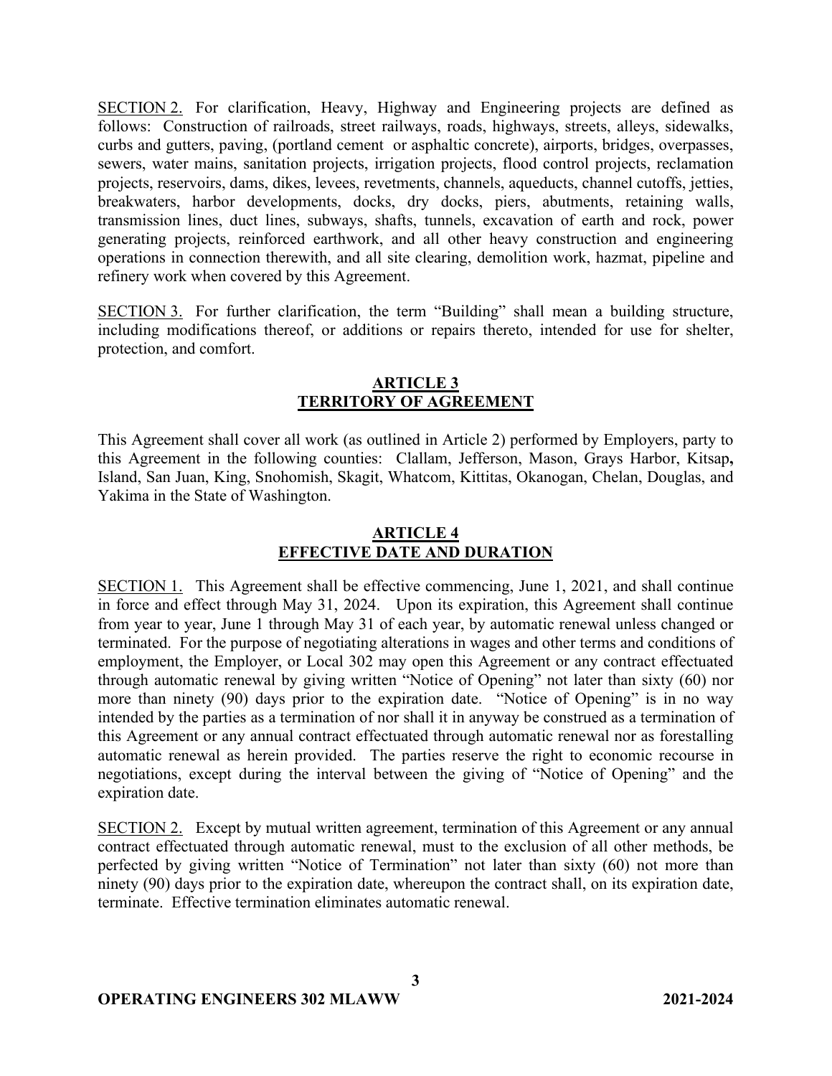SECTION 2. For clarification, Heavy, Highway and Engineering projects are defined as follows: Construction of railroads, street railways, roads, highways, streets, alleys, sidewalks, curbs and gutters, paving, (portland cement or asphaltic concrete), airports, bridges, overpasses, sewers, water mains, sanitation projects, irrigation projects, flood control projects, reclamation projects, reservoirs, dams, dikes, levees, revetments, channels, aqueducts, channel cutoffs, jetties, breakwaters, harbor developments, docks, dry docks, piers, abutments, retaining walls, transmission lines, duct lines, subways, shafts, tunnels, excavation of earth and rock, power generating projects, reinforced earthwork, and all other heavy construction and engineering operations in connection therewith, and all site clearing, demolition work, hazmat, pipeline and refinery work when covered by this Agreement.

SECTION 3. For further clarification, the term "Building" shall mean a building structure, including modifications thereof, or additions or repairs thereto, intended for use for shelter, protection, and comfort.

## **ARTICLE 3 TERRITORY OF AGREEMENT**

This Agreement shall cover all work (as outlined in Article 2) performed by Employers, party to this Agreement in the following counties: Clallam, Jefferson, Mason, Grays Harbor, Kitsap**,** Island, San Juan, King, Snohomish, Skagit, Whatcom, Kittitas, Okanogan, Chelan, Douglas, and Yakima in the State of Washington.

# **ARTICLE 4 EFFECTIVE DATE AND DURATION**

SECTION 1. This Agreement shall be effective commencing, June 1, 2021, and shall continue in force and effect through May 31, 2024. Upon its expiration, this Agreement shall continue from year to year, June 1 through May 31 of each year, by automatic renewal unless changed or terminated. For the purpose of negotiating alterations in wages and other terms and conditions of employment, the Employer, or Local 302 may open this Agreement or any contract effectuated through automatic renewal by giving written "Notice of Opening" not later than sixty (60) nor more than ninety (90) days prior to the expiration date. "Notice of Opening" is in no way intended by the parties as a termination of nor shall it in anyway be construed as a termination of this Agreement or any annual contract effectuated through automatic renewal nor as forestalling automatic renewal as herein provided. The parties reserve the right to economic recourse in negotiations, except during the interval between the giving of "Notice of Opening" and the expiration date.

SECTION 2. Except by mutual written agreement, termination of this Agreement or any annual contract effectuated through automatic renewal, must to the exclusion of all other methods, be perfected by giving written "Notice of Termination" not later than sixty (60) not more than ninety (90) days prior to the expiration date, whereupon the contract shall, on its expiration date, terminate. Effective termination eliminates automatic renewal.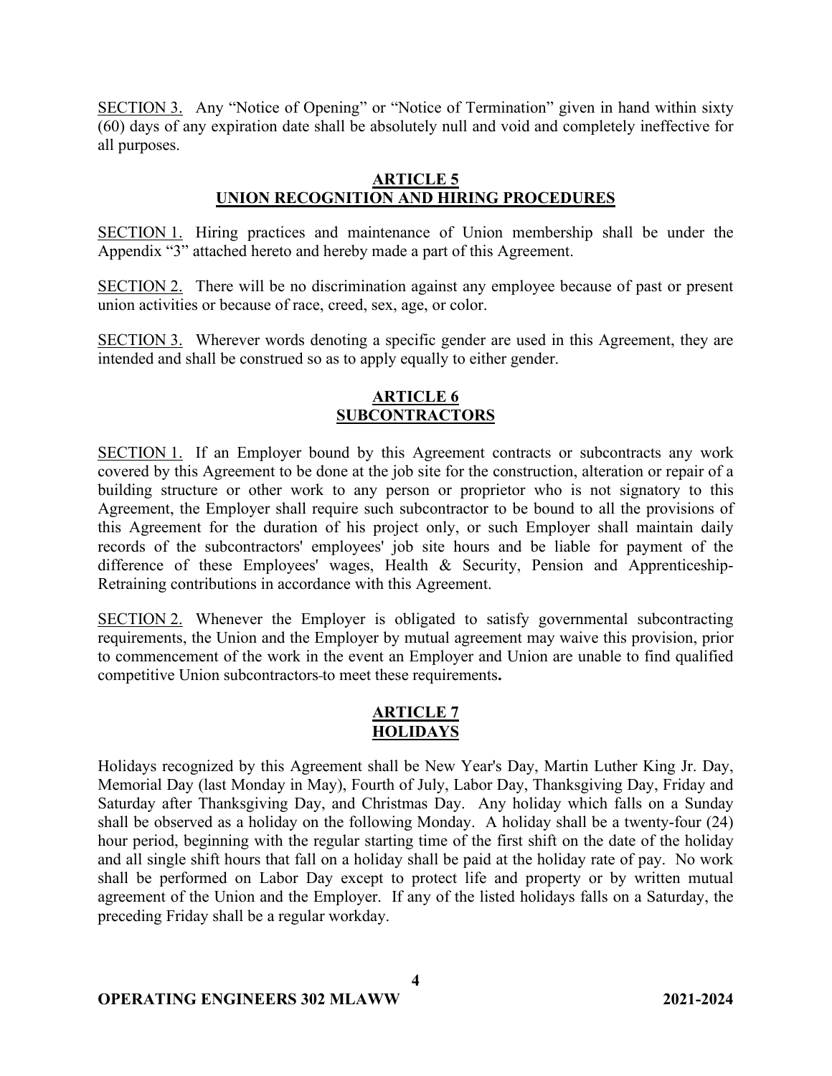SECTION 3. Any "Notice of Opening" or "Notice of Termination" given in hand within sixty (60) days of any expiration date shall be absolutely null and void and completely ineffective for all purposes.

## **ARTICLE 5 UNION RECOGNITION AND HIRING PROCEDURES**

SECTION 1. Hiring practices and maintenance of Union membership shall be under the Appendix "3" attached hereto and hereby made a part of this Agreement.

SECTION 2. There will be no discrimination against any employee because of past or present union activities or because of race, creed, sex, age, or color.

SECTION 3. Wherever words denoting a specific gender are used in this Agreement, they are intended and shall be construed so as to apply equally to either gender.

## **ARTICLE 6 SUBCONTRACTORS**

SECTION 1. If an Employer bound by this Agreement contracts or subcontracts any work covered by this Agreement to be done at the job site for the construction, alteration or repair of a building structure or other work to any person or proprietor who is not signatory to this Agreement, the Employer shall require such subcontractor to be bound to all the provisions of this Agreement for the duration of his project only, or such Employer shall maintain daily records of the subcontractors' employees' job site hours and be liable for payment of the difference of these Employees' wages, Health & Security, Pension and Apprenticeship-Retraining contributions in accordance with this Agreement.

SECTION 2. Whenever the Employer is obligated to satisfy governmental subcontracting requirements, the Union and the Employer by mutual agreement may waive this provision, prior to commencement of the work in the event an Employer and Union are unable to find qualified competitive Union subcontractors to meet these requirements**.**

## **ARTICLE 7 HOLIDAYS**

Holidays recognized by this Agreement shall be New Year's Day, Martin Luther King Jr. Day, Memorial Day (last Monday in May), Fourth of July, Labor Day, Thanksgiving Day, Friday and Saturday after Thanksgiving Day, and Christmas Day. Any holiday which falls on a Sunday shall be observed as a holiday on the following Monday. A holiday shall be a twenty-four (24) hour period, beginning with the regular starting time of the first shift on the date of the holiday and all single shift hours that fall on a holiday shall be paid at the holiday rate of pay. No work shall be performed on Labor Day except to protect life and property or by written mutual agreement of the Union and the Employer. If any of the listed holidays falls on a Saturday, the preceding Friday shall be a regular workday.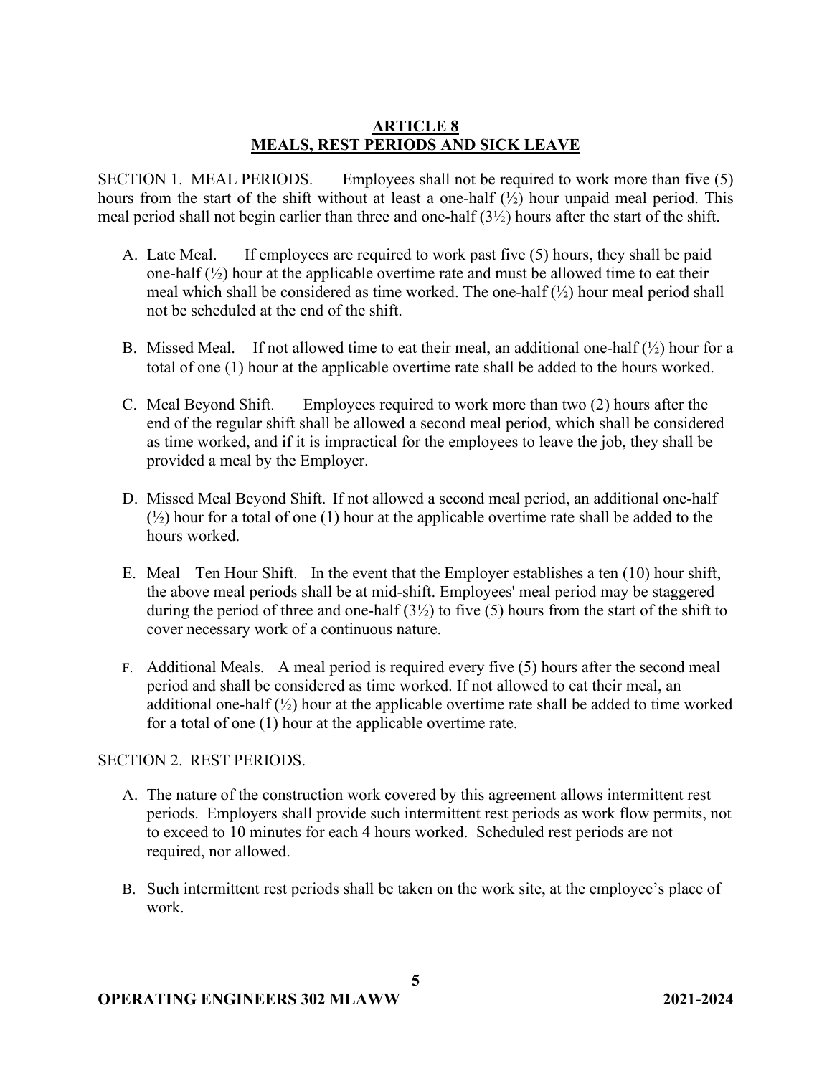## **ARTICLE 8 MEALS, REST PERIODS AND SICK LEAVE**

SECTION 1. MEAL PERIODS. Employees shall not be required to work more than five (5) hours from the start of the shift without at least a one-half  $(\frac{1}{2})$  hour unpaid meal period. This meal period shall not begin earlier than three and one-half (3½) hours after the start of the shift.

- A. Late Meal. If employees are required to work past five (5) hours, they shall be paid one-half  $(\frac{1}{2})$  hour at the applicable overtime rate and must be allowed time to eat their meal which shall be considered as time worked. The one-half  $(\frac{1}{2})$  hour meal period shall not be scheduled at the end of the shift.
- B. Missed Meal. If not allowed time to eat their meal, an additional one-half  $(\frac{1}{2})$  hour for a total of one (1) hour at the applicable overtime rate shall be added to the hours worked.
- C. Meal Beyond Shift. Employees required to work more than two (2) hours after the end of the regular shift shall be allowed a second meal period, which shall be considered as time worked, and if it is impractical for the employees to leave the job, they shall be provided a meal by the Employer.
- D. Missed Meal Beyond Shift. If not allowed a second meal period, an additional one-half  $(\frac{1}{2})$  hour for a total of one (1) hour at the applicable overtime rate shall be added to the hours worked.
- E. Meal Ten Hour Shift. In the event that the Employer establishes a ten (10) hour shift, the above meal periods shall be at mid-shift. Employees' meal period may be staggered during the period of three and one-half  $(3\frac{1}{2})$  to five (5) hours from the start of the shift to cover necessary work of a continuous nature.
- F. Additional Meals. A meal period is required every five (5) hours after the second meal period and shall be considered as time worked. If not allowed to eat their meal, an additional one-half  $(\frac{1}{2})$  hour at the applicable overtime rate shall be added to time worked for a total of one (1) hour at the applicable overtime rate.

## SECTION 2. REST PERIODS.

- A. The nature of the construction work covered by this agreement allows intermittent rest periods. Employers shall provide such intermittent rest periods as work flow permits, not to exceed to 10 minutes for each 4 hours worked. Scheduled rest periods are not required, nor allowed.
- B. Such intermittent rest periods shall be taken on the work site, at the employee's place of work.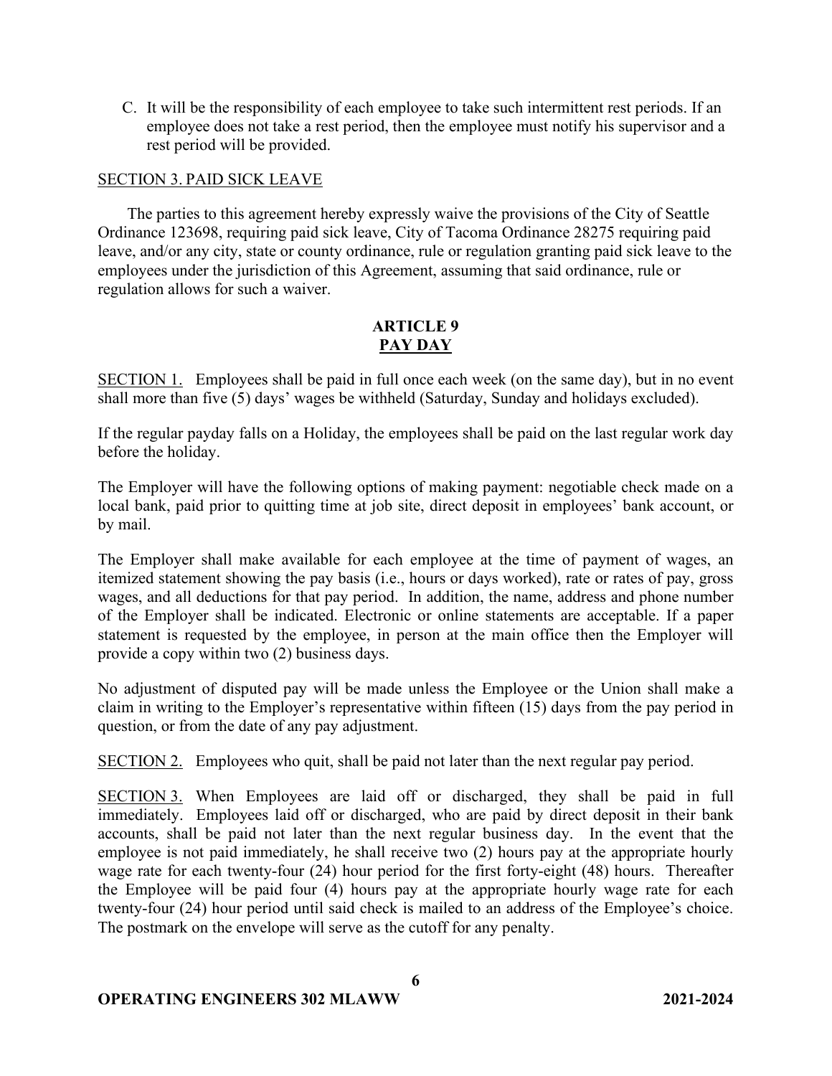C. It will be the responsibility of each employee to take such intermittent rest periods. If an employee does not take a rest period, then the employee must notify his supervisor and a rest period will be provided.

### SECTION 3. PAID SICK LEAVE

The parties to this agreement hereby expressly waive the provisions of the City of Seattle Ordinance 123698, requiring paid sick leave, City of Tacoma Ordinance 28275 requiring paid leave, and/or any city, state or county ordinance, rule or regulation granting paid sick leave to the employees under the jurisdiction of this Agreement, assuming that said ordinance, rule or regulation allows for such a waiver.

## **ARTICLE 9 PAY DAY**

SECTION 1. Employees shall be paid in full once each week (on the same day), but in no event shall more than five (5) days' wages be withheld (Saturday, Sunday and holidays excluded).

If the regular payday falls on a Holiday, the employees shall be paid on the last regular work day before the holiday.

The Employer will have the following options of making payment: negotiable check made on a local bank, paid prior to quitting time at job site, direct deposit in employees' bank account, or by mail.

The Employer shall make available for each employee at the time of payment of wages, an itemized statement showing the pay basis (i.e., hours or days worked), rate or rates of pay, gross wages, and all deductions for that pay period. In addition, the name, address and phone number of the Employer shall be indicated. Electronic or online statements are acceptable. If a paper statement is requested by the employee, in person at the main office then the Employer will provide a copy within two (2) business days.

No adjustment of disputed pay will be made unless the Employee or the Union shall make a claim in writing to the Employer's representative within fifteen (15) days from the pay period in question, or from the date of any pay adjustment.

SECTION 2. Employees who quit, shall be paid not later than the next regular pay period.

SECTION 3. When Employees are laid off or discharged, they shall be paid in full immediately. Employees laid off or discharged, who are paid by direct deposit in their bank accounts, shall be paid not later than the next regular business day.In the event that the employee is not paid immediately, he shall receive two (2) hours pay at the appropriate hourly wage rate for each twenty-four (24) hour period for the first forty-eight (48) hours. Thereafter the Employee will be paid four (4) hours pay at the appropriate hourly wage rate for each twenty-four (24) hour period until said check is mailed to an address of the Employee's choice. The postmark on the envelope will serve as the cutoff for any penalty.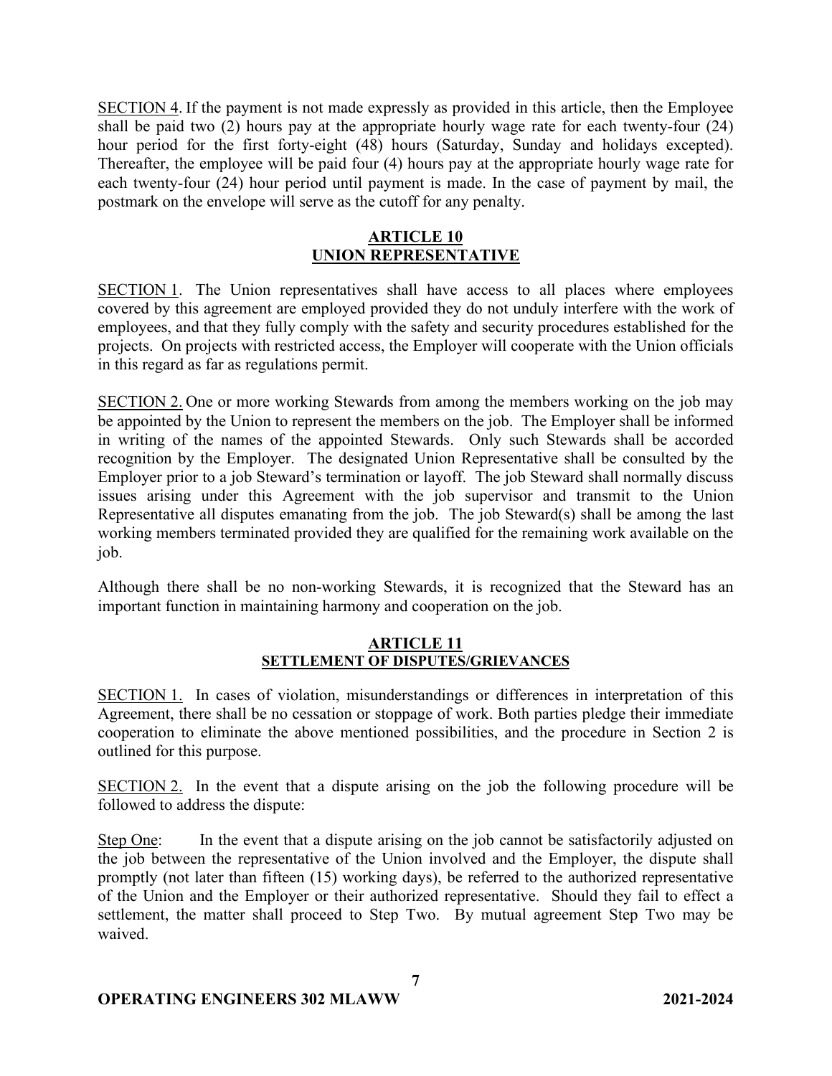SECTION 4. If the payment is not made expressly as provided in this article, then the Employee shall be paid two (2) hours pay at the appropriate hourly wage rate for each twenty-four (24) hour period for the first forty-eight (48) hours (Saturday, Sunday and holidays excepted). Thereafter, the employee will be paid four (4) hours pay at the appropriate hourly wage rate for each twenty-four (24) hour period until payment is made. In the case of payment by mail, the postmark on the envelope will serve as the cutoff for any penalty.

# **ARTICLE 10 UNION REPRESENTATIVE**

SECTION 1. The Union representatives shall have access to all places where employees covered by this agreement are employed provided they do not unduly interfere with the work of employees, and that they fully comply with the safety and security procedures established for the projects. On projects with restricted access, the Employer will cooperate with the Union officials in this regard as far as regulations permit.

SECTION 2. One or more working Stewards from among the members working on the job may be appointed by the Union to represent the members on the job. The Employer shall be informed in writing of the names of the appointed Stewards. Only such Stewards shall be accorded recognition by the Employer. The designated Union Representative shall be consulted by the Employer prior to a job Steward's termination or layoff. The job Steward shall normally discuss issues arising under this Agreement with the job supervisor and transmit to the Union Representative all disputes emanating from the job. The job Steward(s) shall be among the last working members terminated provided they are qualified for the remaining work available on the job.

Although there shall be no non-working Stewards, it is recognized that the Steward has an important function in maintaining harmony and cooperation on the job.

## **ARTICLE 11 SETTLEMENT OF DISPUTES/GRIEVANCES**

SECTION 1. In cases of violation, misunderstandings or differences in interpretation of this Agreement, there shall be no cessation or stoppage of work. Both parties pledge their immediate cooperation to eliminate the above mentioned possibilities, and the procedure in Section 2 is outlined for this purpose.

SECTION 2. In the event that a dispute arising on the job the following procedure will be followed to address the dispute:

Step One: In the event that a dispute arising on the job cannot be satisfactorily adjusted on the job between the representative of the Union involved and the Employer, the dispute shall promptly (not later than fifteen (15) working days), be referred to the authorized representative of the Union and the Employer or their authorized representative. Should they fail to effect a settlement, the matter shall proceed to Step Two. By mutual agreement Step Two may be waived.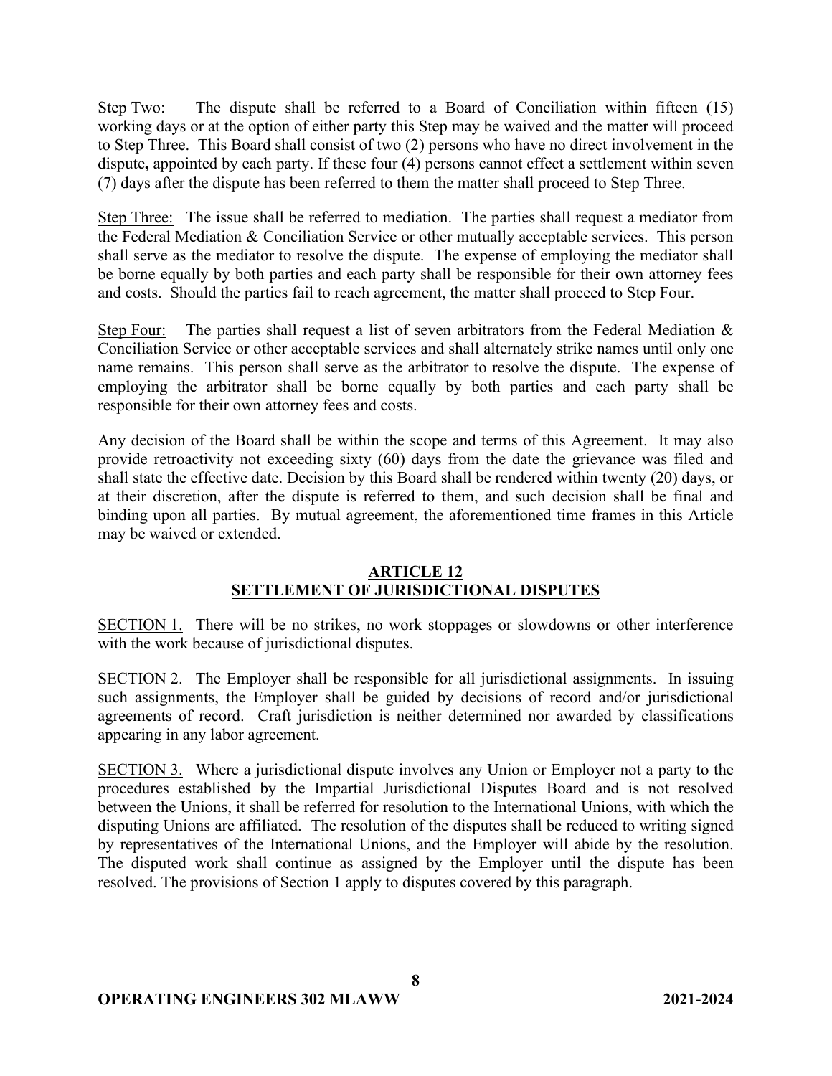Step Two: The dispute shall be referred to a Board of Conciliation within fifteen (15) working days or at the option of either party this Step may be waived and the matter will proceed to Step Three. This Board shall consist of two (2) persons who have no direct involvement in the dispute**,** appointed by each party. If these four (4) persons cannot effect a settlement within seven (7) days after the dispute has been referred to them the matter shall proceed to Step Three.

Step Three: The issue shall be referred to mediation. The parties shall request a mediator from the Federal Mediation & Conciliation Service or other mutually acceptable services. This person shall serve as the mediator to resolve the dispute. The expense of employing the mediator shall be borne equally by both parties and each party shall be responsible for their own attorney fees and costs. Should the parties fail to reach agreement, the matter shall proceed to Step Four.

Step Four: The parties shall request a list of seven arbitrators from the Federal Mediation  $\&$ Conciliation Service or other acceptable services and shall alternately strike names until only one name remains. This person shall serve as the arbitrator to resolve the dispute. The expense of employing the arbitrator shall be borne equally by both parties and each party shall be responsible for their own attorney fees and costs.

Any decision of the Board shall be within the scope and terms of this Agreement. It may also provide retroactivity not exceeding sixty (60) days from the date the grievance was filed and shall state the effective date. Decision by this Board shall be rendered within twenty (20) days, or at their discretion, after the dispute is referred to them, and such decision shall be final and binding upon all parties. By mutual agreement, the aforementioned time frames in this Article may be waived or extended.

## **ARTICLE 12 SETTLEMENT OF JURISDICTIONAL DISPUTES**

SECTION 1. There will be no strikes, no work stoppages or slowdowns or other interference with the work because of jurisdictional disputes.

SECTION 2. The Employer shall be responsible for all jurisdictional assignments. In issuing such assignments, the Employer shall be guided by decisions of record and/or jurisdictional agreements of record. Craft jurisdiction is neither determined nor awarded by classifications appearing in any labor agreement.

SECTION 3. Where a jurisdictional dispute involves any Union or Employer not a party to the procedures established by the Impartial Jurisdictional Disputes Board and is not resolved between the Unions, it shall be referred for resolution to the International Unions, with which the disputing Unions are affiliated. The resolution of the disputes shall be reduced to writing signed by representatives of the International Unions, and the Employer will abide by the resolution. The disputed work shall continue as assigned by the Employer until the dispute has been resolved. The provisions of Section 1 apply to disputes covered by this paragraph.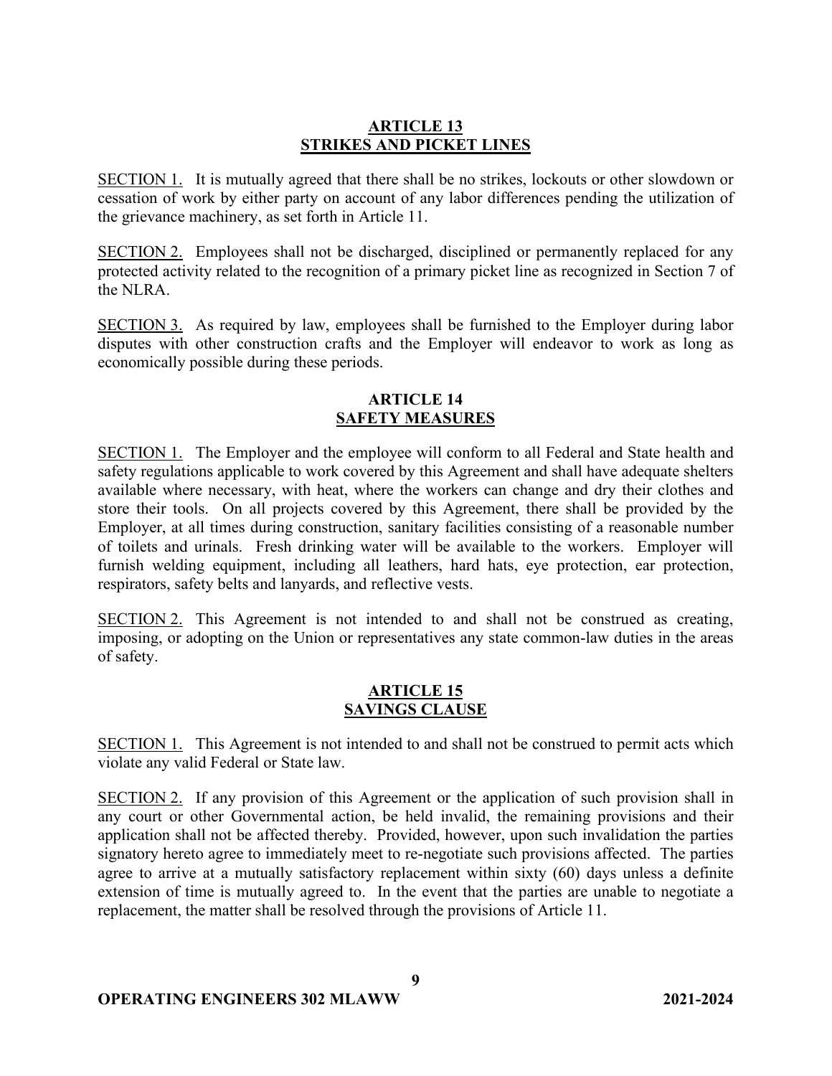## **ARTICLE 13 STRIKES AND PICKET LINES**

SECTION 1. It is mutually agreed that there shall be no strikes, lockouts or other slowdown or cessation of work by either party on account of any labor differences pending the utilization of the grievance machinery, as set forth in Article 11.

SECTION 2. Employees shall not be discharged, disciplined or permanently replaced for any protected activity related to the recognition of a primary picket line as recognized in Section 7 of the NLRA.

SECTION 3. As required by law, employees shall be furnished to the Employer during labor disputes with other construction crafts and the Employer will endeavor to work as long as economically possible during these periods.

# **ARTICLE 14 SAFETY MEASURES**

SECTION 1. The Employer and the employee will conform to all Federal and State health and safety regulations applicable to work covered by this Agreement and shall have adequate shelters available where necessary, with heat, where the workers can change and dry their clothes and store their tools. On all projects covered by this Agreement, there shall be provided by the Employer, at all times during construction, sanitary facilities consisting of a reasonable number of toilets and urinals. Fresh drinking water will be available to the workers. Employer will furnish welding equipment, including all leathers, hard hats, eye protection, ear protection, respirators, safety belts and lanyards, and reflective vests.

SECTION 2. This Agreement is not intended to and shall not be construed as creating, imposing, or adopting on the Union or representatives any state common-law duties in the areas of safety.

## **ARTICLE 15 SAVINGS CLAUSE**

SECTION 1. This Agreement is not intended to and shall not be construed to permit acts which violate any valid Federal or State law.

SECTION 2. If any provision of this Agreement or the application of such provision shall in any court or other Governmental action, be held invalid, the remaining provisions and their application shall not be affected thereby. Provided, however, upon such invalidation the parties signatory hereto agree to immediately meet to re-negotiate such provisions affected. The parties agree to arrive at a mutually satisfactory replacement within sixty (60) days unless a definite extension of time is mutually agreed to. In the event that the parties are unable to negotiate a replacement, the matter shall be resolved through the provisions of Article 11.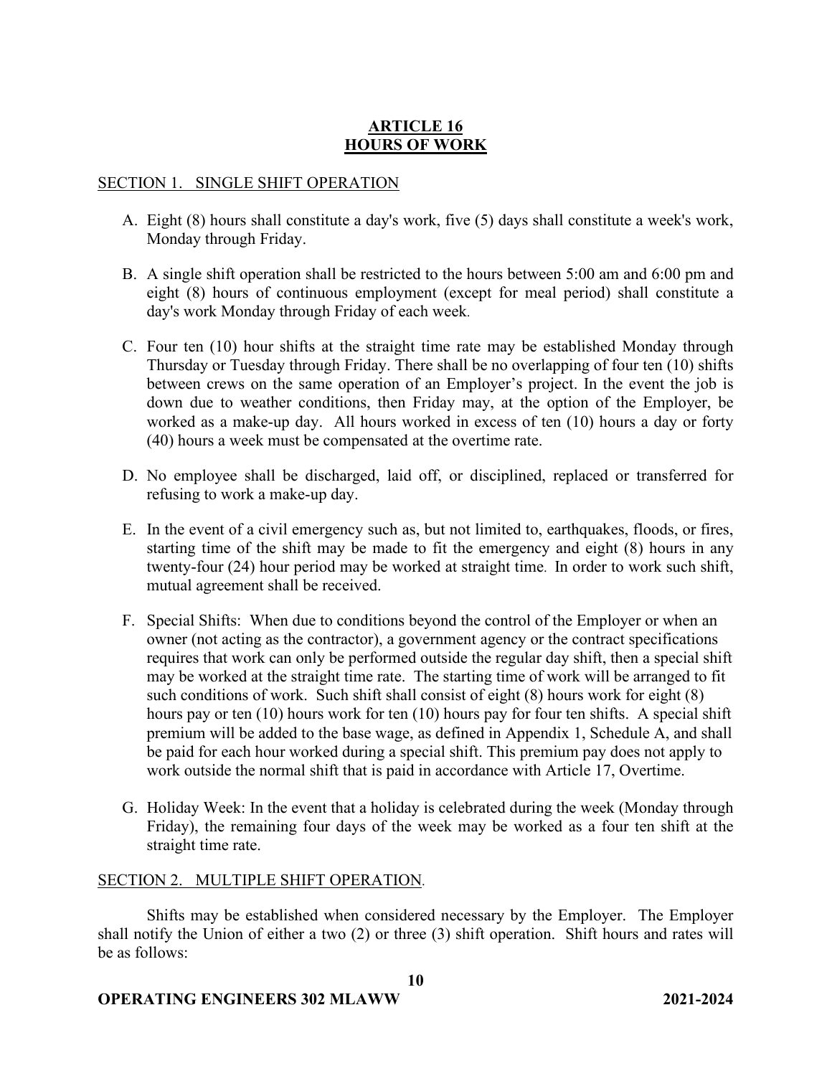# **ARTICLE 16 HOURS OF WORK**

### SECTION 1. SINGLE SHIFT OPERATION

- A. Eight (8) hours shall constitute a day's work, five (5) days shall constitute a week's work, Monday through Friday.
- B. A single shift operation shall be restricted to the hours between 5:00 am and 6:00 pm and eight (8) hours of continuous employment (except for meal period) shall constitute a day's work Monday through Friday of each week.
- C. Four ten (10) hour shifts at the straight time rate may be established Monday through Thursday or Tuesday through Friday. There shall be no overlapping of four ten (10) shifts between crews on the same operation of an Employer's project. In the event the job is down due to weather conditions, then Friday may, at the option of the Employer, be worked as a make-up day. All hours worked in excess of ten (10) hours a day or forty (40) hours a week must be compensated at the overtime rate.
- D. No employee shall be discharged, laid off, or disciplined, replaced or transferred for refusing to work a make-up day.
- E. In the event of a civil emergency such as, but not limited to, earthquakes, floods, or fires, starting time of the shift may be made to fit the emergency and eight (8) hours in any twenty-four (24) hour period may be worked at straight time. In order to work such shift, mutual agreement shall be received.
- F. Special Shifts: When due to conditions beyond the control of the Employer or when an owner (not acting as the contractor), a government agency or the contract specifications requires that work can only be performed outside the regular day shift, then a special shift may be worked at the straight time rate. The starting time of work will be arranged to fit such conditions of work. Such shift shall consist of eight (8) hours work for eight (8) hours pay or ten (10) hours work for ten (10) hours pay for four ten shifts. A special shift premium will be added to the base wage, as defined in Appendix 1, Schedule A, and shall be paid for each hour worked during a special shift. This premium pay does not apply to work outside the normal shift that is paid in accordance with Article 17, Overtime.
- G. Holiday Week: In the event that a holiday is celebrated during the week (Monday through Friday), the remaining four days of the week may be worked as a four ten shift at the straight time rate.

## SECTION 2. MULTIPLE SHIFT OPERATION.

Shifts may be established when considered necessary by the Employer. The Employer shall notify the Union of either a two (2) or three (3) shift operation. Shift hours and rates will be as follows:

**10**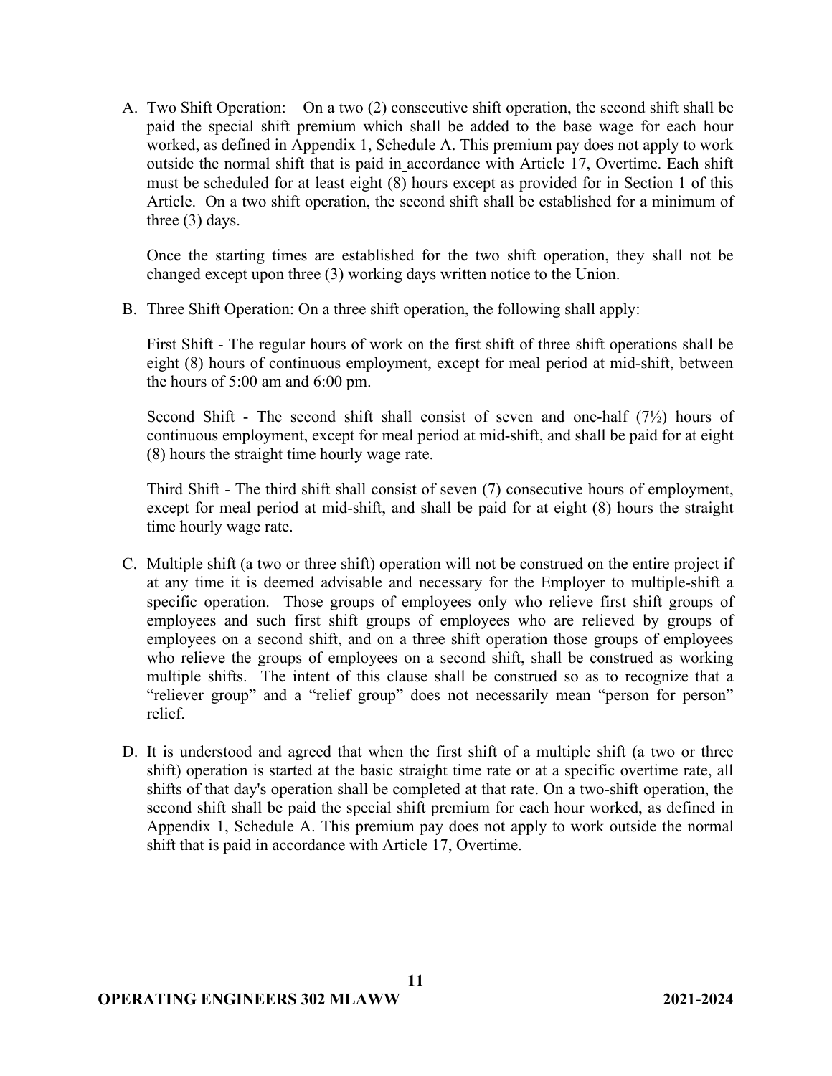A. Two Shift Operation: On a two (2) consecutive shift operation, the second shift shall be paid the special shift premium which shall be added to the base wage for each hour worked, as defined in Appendix 1, Schedule A. This premium pay does not apply to work outside the normal shift that is paid in accordance with Article 17, Overtime. Each shift must be scheduled for at least eight (8) hours except as provided for in Section 1 of this Article. On a two shift operation, the second shift shall be established for a minimum of three (3) days.

Once the starting times are established for the two shift operation, they shall not be changed except upon three (3) working days written notice to the Union.

B. Three Shift Operation: On a three shift operation, the following shall apply:

First Shift - The regular hours of work on the first shift of three shift operations shall be eight (8) hours of continuous employment, except for meal period at mid-shift, between the hours of 5:00 am and 6:00 pm.

Second Shift - The second shift shall consist of seven and one-half  $(7\frac{1}{2})$  hours of continuous employment, except for meal period at mid-shift, and shall be paid for at eight (8) hours the straight time hourly wage rate.

Third Shift - The third shift shall consist of seven (7) consecutive hours of employment, except for meal period at mid-shift, and shall be paid for at eight (8) hours the straight time hourly wage rate.

- C. Multiple shift (a two or three shift) operation will not be construed on the entire project if at any time it is deemed advisable and necessary for the Employer to multiple-shift a specific operation. Those groups of employees only who relieve first shift groups of employees and such first shift groups of employees who are relieved by groups of employees on a second shift, and on a three shift operation those groups of employees who relieve the groups of employees on a second shift, shall be construed as working multiple shifts. The intent of this clause shall be construed so as to recognize that a "reliever group" and a "relief group" does not necessarily mean "person for person" relief.
- D. It is understood and agreed that when the first shift of a multiple shift (a two or three shift) operation is started at the basic straight time rate or at a specific overtime rate, all shifts of that day's operation shall be completed at that rate. On a two-shift operation, the second shift shall be paid the special shift premium for each hour worked, as defined in Appendix 1, Schedule A. This premium pay does not apply to work outside the normal shift that is paid in accordance with Article 17, Overtime.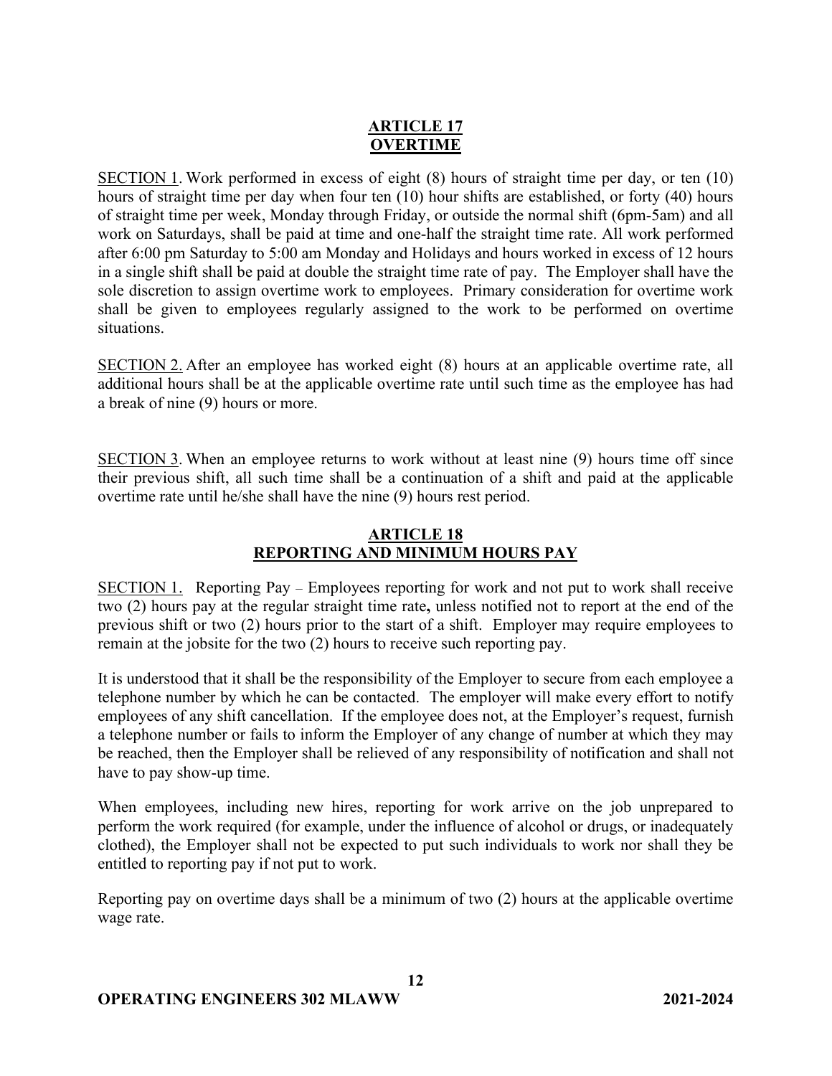# **ARTICLE 17 OVERTIME**

SECTION 1. Work performed in excess of eight (8) hours of straight time per day, or ten (10) hours of straight time per day when four ten (10) hour shifts are established, or forty (40) hours of straight time per week, Monday through Friday, or outside the normal shift (6pm-5am) and all work on Saturdays, shall be paid at time and one-half the straight time rate. All work performed after 6:00 pm Saturday to 5:00 am Monday and Holidays and hours worked in excess of 12 hours in a single shift shall be paid at double the straight time rate of pay. The Employer shall have the sole discretion to assign overtime work to employees. Primary consideration for overtime work shall be given to employees regularly assigned to the work to be performed on overtime situations.

SECTION 2. After an employee has worked eight (8) hours at an applicable overtime rate, all additional hours shall be at the applicable overtime rate until such time as the employee has had a break of nine (9) hours or more.

SECTION 3. When an employee returns to work without at least nine (9) hours time off since their previous shift, all such time shall be a continuation of a shift and paid at the applicable overtime rate until he/she shall have the nine (9) hours rest period.

# **ARTICLE 18 REPORTING AND MINIMUM HOURS PAY**

SECTION 1. Reporting Pay – Employees reporting for work and not put to work shall receive two (2) hours pay at the regular straight time rate**,** unless notified not to report at the end of the previous shift or two (2) hours prior to the start of a shift. Employer may require employees to remain at the jobsite for the two (2) hours to receive such reporting pay.

It is understood that it shall be the responsibility of the Employer to secure from each employee a telephone number by which he can be contacted. The employer will make every effort to notify employees of any shift cancellation. If the employee does not, at the Employer's request, furnish a telephone number or fails to inform the Employer of any change of number at which they may be reached, then the Employer shall be relieved of any responsibility of notification and shall not have to pay show-up time.

When employees, including new hires, reporting for work arrive on the job unprepared to perform the work required (for example, under the influence of alcohol or drugs, or inadequately clothed), the Employer shall not be expected to put such individuals to work nor shall they be entitled to reporting pay if not put to work.

Reporting pay on overtime days shall be a minimum of two (2) hours at the applicable overtime wage rate.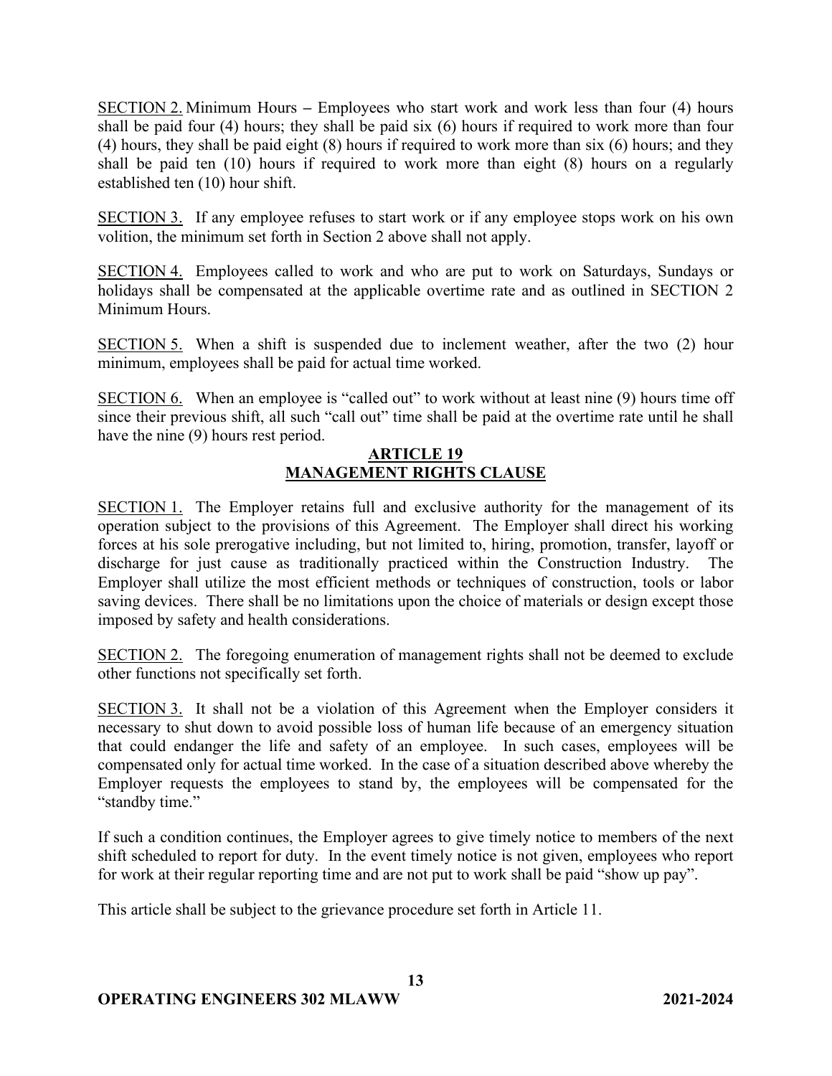SECTION 2. Minimum Hours **–** Employees who start work and work less than four (4) hours shall be paid four (4) hours; they shall be paid six (6) hours if required to work more than four (4) hours, they shall be paid eight (8) hours if required to work more than six (6) hours; and they shall be paid ten (10) hours if required to work more than eight (8) hours on a regularly established ten (10) hour shift.

SECTION 3. If any employee refuses to start work or if any employee stops work on his own volition, the minimum set forth in Section 2 above shall not apply.

SECTION 4. Employees called to work and who are put to work on Saturdays, Sundays or holidays shall be compensated at the applicable overtime rate and as outlined in SECTION 2 Minimum Hours.

SECTION 5. When a shift is suspended due to inclement weather, after the two (2) hour minimum, employees shall be paid for actual time worked.

SECTION 6. When an employee is "called out" to work without at least nine (9) hours time off since their previous shift, all such "call out" time shall be paid at the overtime rate until he shall have the nine (9) hours rest period.

## **ARTICLE 19 MANAGEMENT RIGHTS CLAUSE**

SECTION 1. The Employer retains full and exclusive authority for the management of its operation subject to the provisions of this Agreement. The Employer shall direct his working forces at his sole prerogative including, but not limited to, hiring, promotion, transfer, layoff or discharge for just cause as traditionally practiced within the Construction Industry. Employer shall utilize the most efficient methods or techniques of construction, tools or labor saving devices. There shall be no limitations upon the choice of materials or design except those imposed by safety and health considerations.

SECTION 2. The foregoing enumeration of management rights shall not be deemed to exclude other functions not specifically set forth.

SECTION 3. It shall not be a violation of this Agreement when the Employer considers it necessary to shut down to avoid possible loss of human life because of an emergency situation that could endanger the life and safety of an employee. In such cases, employees will be compensated only for actual time worked. In the case of a situation described above whereby the Employer requests the employees to stand by, the employees will be compensated for the "standby time."

If such a condition continues, the Employer agrees to give timely notice to members of the next shift scheduled to report for duty. In the event timely notice is not given, employees who report for work at their regular reporting time and are not put to work shall be paid "show up pay".

This article shall be subject to the grievance procedure set forth in Article 11.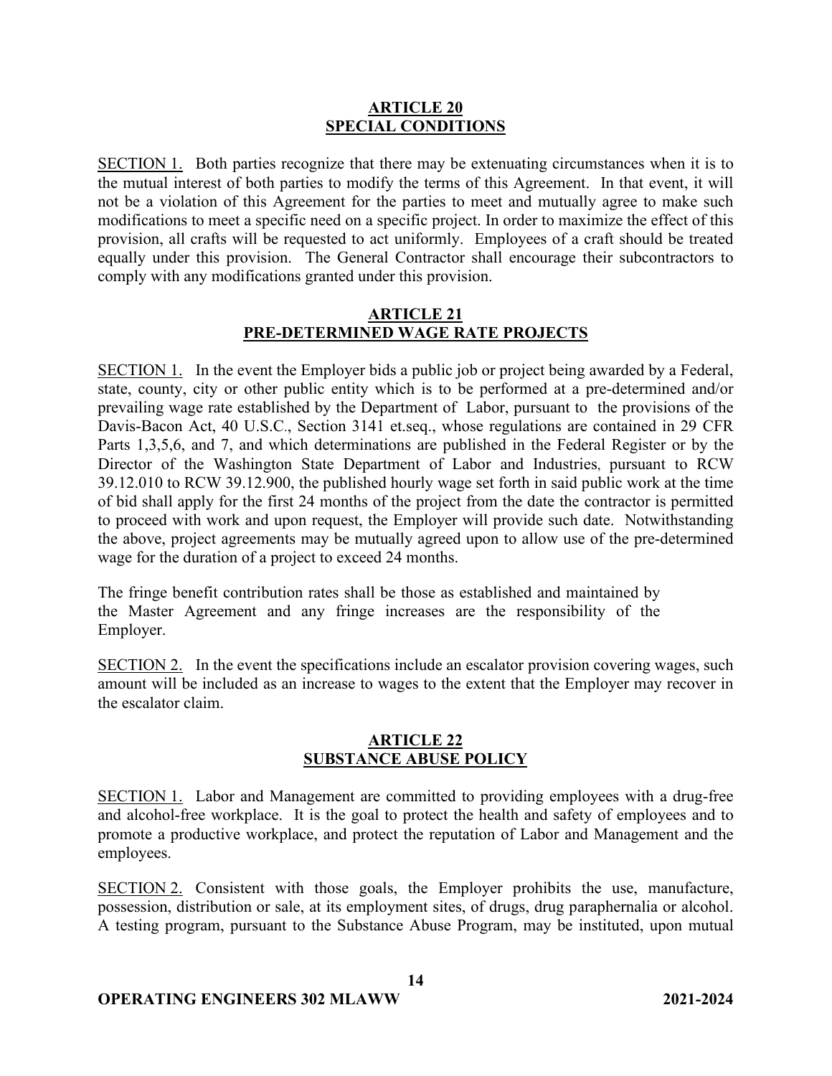### **ARTICLE 20 SPECIAL CONDITIONS**

SECTION 1. Both parties recognize that there may be extenuating circumstances when it is to the mutual interest of both parties to modify the terms of this Agreement. In that event, it will not be a violation of this Agreement for the parties to meet and mutually agree to make such modifications to meet a specific need on a specific project. In order to maximize the effect of this provision, all crafts will be requested to act uniformly. Employees of a craft should be treated equally under this provision. The General Contractor shall encourage their subcontractors to comply with any modifications granted under this provision.

## **ARTICLE 21 PRE-DETERMINED WAGE RATE PROJECTS**

SECTION 1. In the event the Employer bids a public job or project being awarded by a Federal, state, county, city or other public entity which is to be performed at a pre-determined and/or prevailing wage rate established by the Department of Labor, pursuant to the provisions of the Davis-Bacon Act, 40 U.S.C., Section 3141 et.seq., whose regulations are contained in 29 CFR Parts 1,3,5,6, and 7, and which determinations are published in the Federal Register or by the Director of the Washington State Department of Labor and Industries, pursuant to RCW 39.12.010 to RCW 39.12.900, the published hourly wage set forth in said public work at the time of bid shall apply for the first 24 months of the project from the date the contractor is permitted to proceed with work and upon request, the Employer will provide such date. Notwithstanding the above, project agreements may be mutually agreed upon to allow use of the pre-determined wage for the duration of a project to exceed 24 months.

The fringe benefit contribution rates shall be those as established and maintained by the Master Agreement and any fringe increases are the responsibility of the Employer.

SECTION 2. In the event the specifications include an escalator provision covering wages, such amount will be included as an increase to wages to the extent that the Employer may recover in the escalator claim.

## **ARTICLE 22 SUBSTANCE ABUSE POLICY**

SECTION 1. Labor and Management are committed to providing employees with a drug-free and alcohol-free workplace. It is the goal to protect the health and safety of employees and to promote a productive workplace, and protect the reputation of Labor and Management and the employees.

SECTION 2. Consistent with those goals, the Employer prohibits the use, manufacture, possession, distribution or sale, at its employment sites, of drugs, drug paraphernalia or alcohol. A testing program, pursuant to the Substance Abuse Program, may be instituted, upon mutual

**14**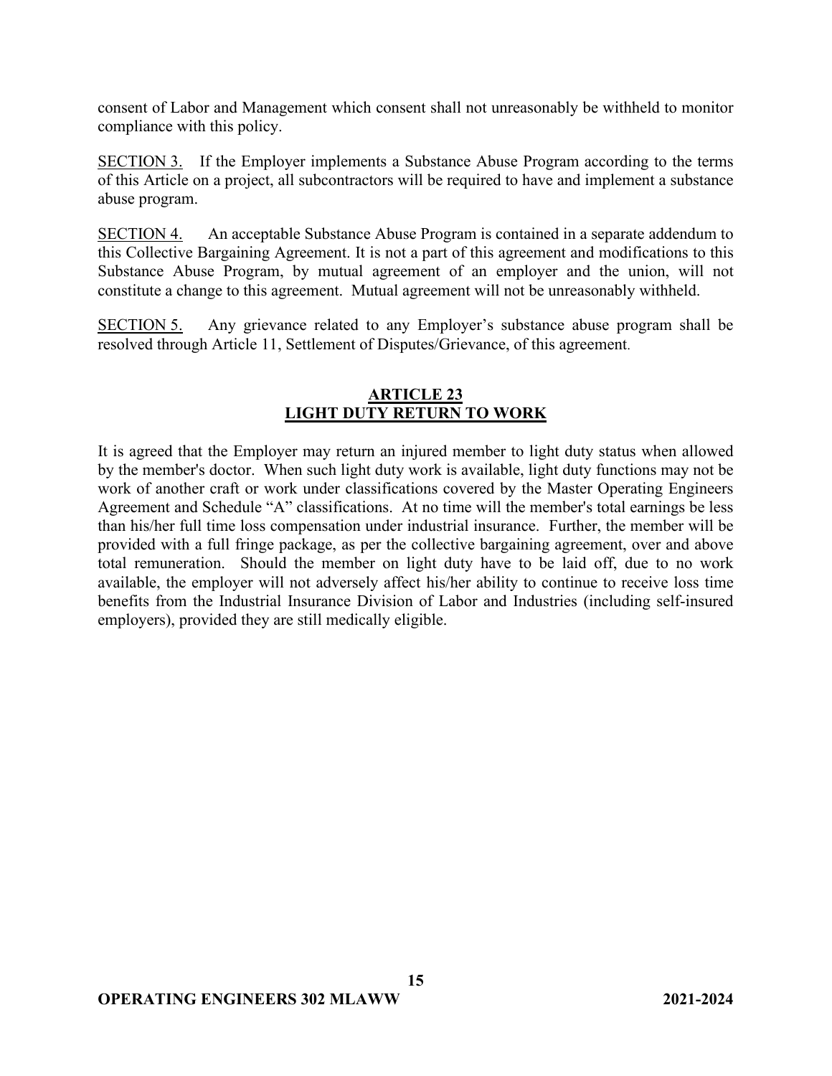consent of Labor and Management which consent shall not unreasonably be withheld to monitor compliance with this policy.

SECTION 3. If the Employer implements a Substance Abuse Program according to the terms of this Article on a project, all subcontractors will be required to have and implement a substance abuse program.

SECTION 4. An acceptable Substance Abuse Program is contained in a separate addendum to this Collective Bargaining Agreement. It is not a part of this agreement and modifications to this Substance Abuse Program, by mutual agreement of an employer and the union, will not constitute a change to this agreement. Mutual agreement will not be unreasonably withheld.

SECTION 5. Any grievance related to any Employer's substance abuse program shall be resolved through Article 11, Settlement of Disputes/Grievance, of this agreement.

## **ARTICLE 23 LIGHT DUTY RETURN TO WORK**

It is agreed that the Employer may return an injured member to light duty status when allowed by the member's doctor. When such light duty work is available, light duty functions may not be work of another craft or work under classifications covered by the Master Operating Engineers Agreement and Schedule "A" classifications. At no time will the member's total earnings be less than his/her full time loss compensation under industrial insurance. Further, the member will be provided with a full fringe package, as per the collective bargaining agreement, over and above total remuneration. Should the member on light duty have to be laid off, due to no work available, the employer will not adversely affect his/her ability to continue to receive loss time benefits from the Industrial Insurance Division of Labor and Industries (including self-insured employers), provided they are still medically eligible.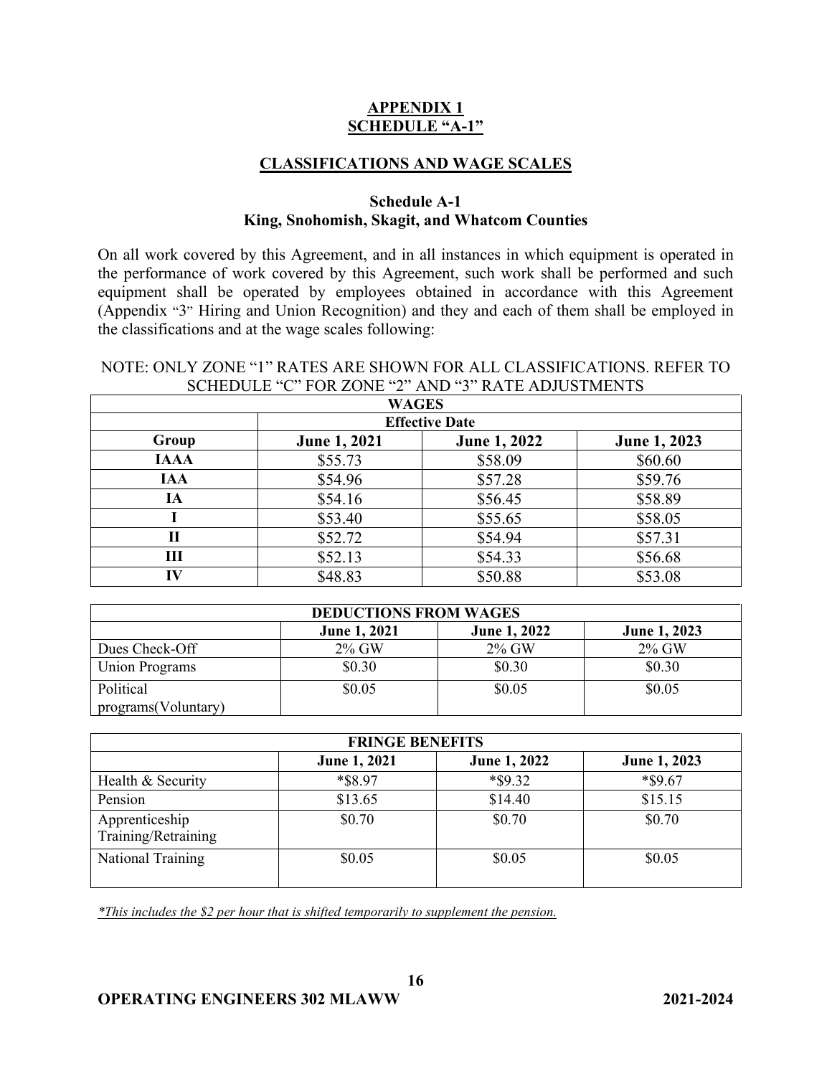## **APPENDIX 1 SCHEDULE "A-1"**

## **CLASSIFICATIONS AND WAGE SCALES**

### **Schedule A-1 King, Snohomish, Skagit, and Whatcom Counties**

On all work covered by this Agreement, and in all instances in which equipment is operated in the performance of work covered by this Agreement, such work shall be performed and such equipment shall be operated by employees obtained in accordance with this Agreement (Appendix "3" Hiring and Union Recognition) and they and each of them shall be employed in the classifications and at the wage scales following:

### NOTE: ONLY ZONE "1" RATES ARE SHOWN FOR ALL CLASSIFICATIONS. REFER TO SCHEDULE "C" FOR ZONE "2" AND "3" RATE ADJUSTMENTS

| <b>WAGES</b> |                       |              |              |  |
|--------------|-----------------------|--------------|--------------|--|
|              | <b>Effective Date</b> |              |              |  |
| Group        | <b>June 1, 2021</b>   | June 1, 2022 | June 1, 2023 |  |
| <b>IAAA</b>  | \$55.73               | \$58.09      | \$60.60      |  |
| <b>IAA</b>   | \$54.96               | \$57.28      | \$59.76      |  |
| IA           | \$54.16               | \$56.45      | \$58.89      |  |
|              | \$53.40               | \$55.65      | \$58.05      |  |
| П            | \$52.72               | \$54.94      | \$57.31      |  |
| Ш            | \$52.13               | \$54.33      | \$56.68      |  |
| IV           | \$48.83               | \$50.88      | \$53.08      |  |

| <b>DEDUCTIONS FROM WAGES</b> |                     |                     |              |
|------------------------------|---------------------|---------------------|--------------|
|                              | <b>June 1, 2021</b> | <b>June 1, 2022</b> | June 1, 2023 |
| Dues Check-Off               | $2\%$ GW            | $2\%$ GW            | $2\%$ GW     |
| <b>Union Programs</b>        | \$0.30              | \$0.30              | \$0.30       |
| Political                    | \$0.05              | \$0.05              | \$0.05       |
| programs(Voluntary)          |                     |                     |              |

| <b>FRINGE BENEFITS</b>                |              |              |              |
|---------------------------------------|--------------|--------------|--------------|
|                                       | June 1, 2021 | June 1, 2022 | June 1, 2023 |
| Health & Security                     | *\$8.97      | $*$ \$9.32   | *\$9.67      |
| Pension                               | \$13.65      | \$14.40      | \$15.15      |
| Apprenticeship<br>Training/Retraining | \$0.70       | \$0.70       | \$0.70       |
| National Training                     | \$0.05       | \$0.05       | \$0.05       |

*\*This includes the \$2 per hour that is shifted temporarily to supplement the pension.*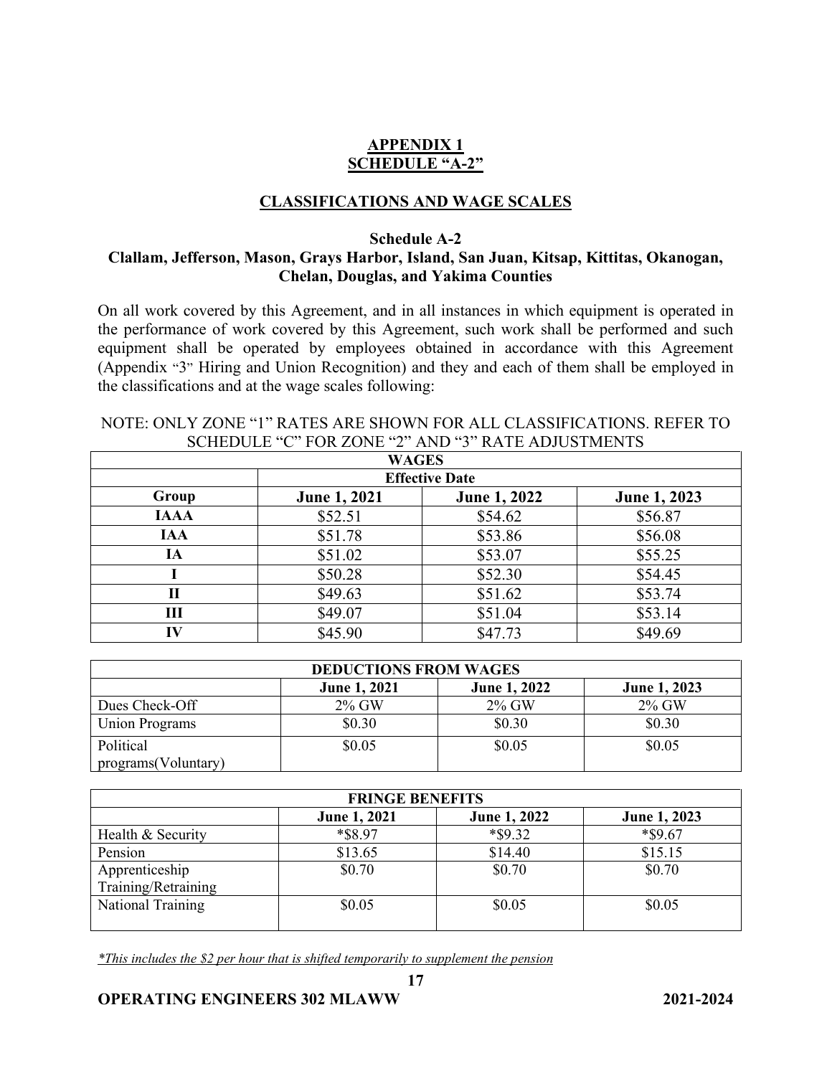# **APPENDIX 1 SCHEDULE "A-2"**

## **CLASSIFICATIONS AND WAGE SCALES**

## **Schedule A-2**

## **Clallam, Jefferson, Mason, Grays Harbor, Island, San Juan, Kitsap, Kittitas, Okanogan, Chelan, Douglas, and Yakima Counties**

On all work covered by this Agreement, and in all instances in which equipment is operated in the performance of work covered by this Agreement, such work shall be performed and such equipment shall be operated by employees obtained in accordance with this Agreement (Appendix "3" Hiring and Union Recognition) and they and each of them shall be employed in the classifications and at the wage scales following:

| SCHEDULE C FOR ZONE Z AND 3 RATE ADJUSTMENTS |                       |                     |              |  |
|----------------------------------------------|-----------------------|---------------------|--------------|--|
|                                              | <b>WAGES</b>          |                     |              |  |
|                                              | <b>Effective Date</b> |                     |              |  |
| Group                                        | <b>June 1, 2021</b>   | <b>June 1, 2022</b> | June 1, 2023 |  |
| <b>IAAA</b>                                  | \$52.51               | \$54.62             | \$56.87      |  |
| <b>IAA</b>                                   | \$51.78               | \$53.86             | \$56.08      |  |
| IA                                           | \$51.02               | \$53.07             | \$55.25      |  |
|                                              | \$50.28               | \$52.30             | \$54.45      |  |
| П                                            | \$49.63               | \$51.62             | \$53.74      |  |
| Ш                                            | \$49.07               | \$51.04             | \$53.14      |  |
| IV                                           | \$45.90               | \$47.73             | \$49.69      |  |

### NOTE: ONLY ZONE "1" RATES ARE SHOWN FOR ALL CLASSIFICATIONS. REFER TO  $S$  (C) FOR ZONE (2) AND  $(3)$  RATE ADHETAENTS

| <b>DEDUCTIONS FROM WAGES</b> |                     |                     |              |
|------------------------------|---------------------|---------------------|--------------|
|                              | <b>June 1, 2021</b> | <b>June 1, 2022</b> | June 1, 2023 |
| Dues Check-Off               | 2% GW               | $2\%$ GW            | $2\%$ GW     |
| <b>Union Programs</b>        | \$0.30              | \$0.30              | \$0.30       |
| Political                    | \$0.05              | \$0.05              | \$0.05       |
| programs(Voluntary)          |                     |                     |              |

| <b>FRINGE BENEFITS</b> |                     |              |              |
|------------------------|---------------------|--------------|--------------|
|                        | <b>June 1, 2021</b> | June 1, 2022 | June 1, 2023 |
| Health & Security      | *\$8.97             | $*$ \$9.32   | *\$9.67      |
| Pension                | \$13.65             | \$14.40      | \$15.15      |
| Apprenticeship         | \$0.70              | \$0.70       | \$0.70       |
| Training/Retraining    |                     |              |              |
| National Training      | \$0.05              | \$0.05       | \$0.05       |
|                        |                     |              |              |

**17**

*\*This includes the \$2 per hour that is shifted temporarily to supplement the pension*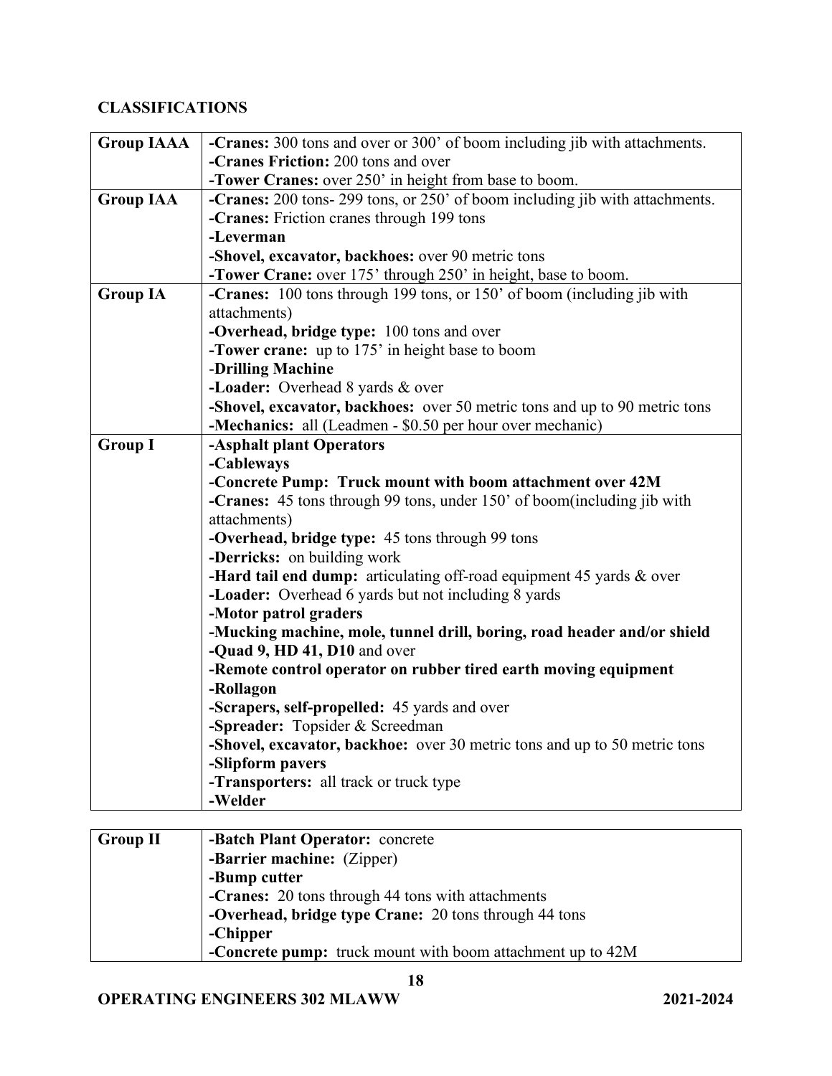# **CLASSIFICATIONS**

| <b>Group IAAA</b> | -Cranes: 300 tons and over or 300' of boom including jib with attachments.     |
|-------------------|--------------------------------------------------------------------------------|
|                   | -Cranes Friction: 200 tons and over                                            |
|                   | -Tower Cranes: over 250' in height from base to boom.                          |
| <b>Group IAA</b>  | -Cranes: 200 tons- 299 tons, or 250' of boom including jib with attachments.   |
|                   | -Cranes: Friction cranes through 199 tons                                      |
|                   | -Leverman                                                                      |
|                   | -Shovel, excavator, backhoes: over 90 metric tons                              |
|                   | <b>-Tower Crane:</b> over 175' through 250' in height, base to boom.           |
| <b>Group IA</b>   | <b>-Cranes:</b> 100 tons through 199 tons, or 150' of boom (including jib with |
|                   | attachments)                                                                   |
|                   | -Overhead, bridge type: 100 tons and over                                      |
|                   | <b>-Tower crane:</b> up to 175' in height base to boom                         |
|                   | -Drilling Machine                                                              |
|                   | -Loader: Overhead 8 yards & over                                               |
|                   | -Shovel, excavator, backhoes: over 50 metric tons and up to 90 metric tons     |
|                   | -Mechanics: all (Leadmen - \$0.50 per hour over mechanic)                      |
| <b>Group I</b>    | -Asphalt plant Operators                                                       |
|                   | -Cableways                                                                     |
|                   | -Concrete Pump: Truck mount with boom attachment over 42M                      |
|                   | -Cranes: 45 tons through 99 tons, under 150' of boom(including jib with        |
|                   | attachments)                                                                   |
|                   | -Overhead, bridge type: 45 tons through 99 tons                                |
|                   | -Derricks: on building work                                                    |
|                   | -Hard tail end dump: articulating off-road equipment 45 yards & over           |
|                   | -Loader: Overhead 6 yards but not including 8 yards                            |
|                   | -Motor patrol graders                                                          |
|                   | -Mucking machine, mole, tunnel drill, boring, road header and/or shield        |
|                   | -Quad 9, HD 41, D10 and over                                                   |
|                   | -Remote control operator on rubber tired earth moving equipment                |
|                   | -Rollagon                                                                      |
|                   | -Scrapers, self-propelled: 45 yards and over                                   |
|                   | -Spreader: Topsider & Screedman                                                |
|                   | -Shovel, excavator, backhoe: over 30 metric tons and up to 50 metric tons      |
|                   | -Slipform pavers                                                               |
|                   | -Transporters: all track or truck type                                         |
|                   | -Welder                                                                        |
|                   |                                                                                |

| <b>Group II</b> | -Batch Plant Operator: concrete                            |
|-----------------|------------------------------------------------------------|
|                 | -Barrier machine: (Zipper)                                 |
|                 | -Bump cutter                                               |
|                 | -Cranes: 20 tons through 44 tons with attachments          |
|                 | -Overhead, bridge type Crane: 20 tons through 44 tons      |
|                 | -Chipper                                                   |
|                 | -Concrete pump: truck mount with boom attachment up to 42M |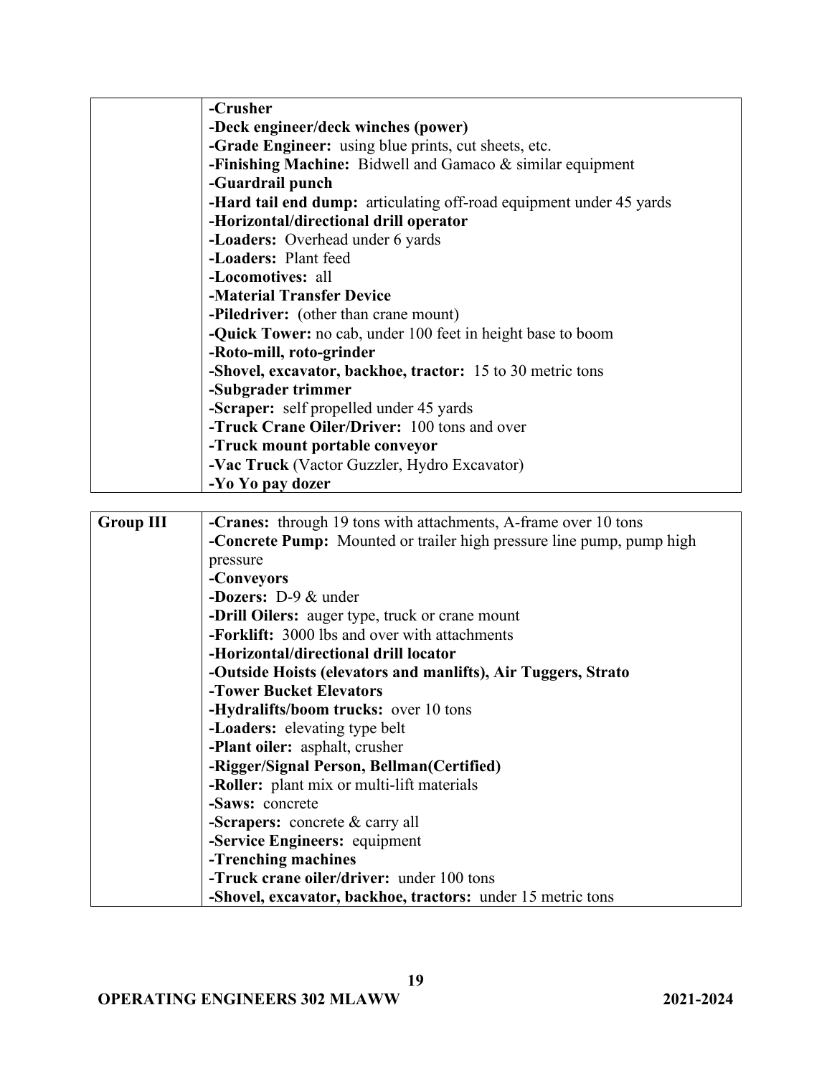| -Crusher                                                                   |
|----------------------------------------------------------------------------|
| -Deck engineer/deck winches (power)                                        |
| -Grade Engineer: using blue prints, cut sheets, etc.                       |
| -Finishing Machine: Bidwell and Gamaco $&$ similar equipment               |
| -Guardrail punch                                                           |
| <b>-Hard tail end dump:</b> articulating off-road equipment under 45 yards |
| -Horizontal/directional drill operator                                     |
| -Loaders: Overhead under 6 yards                                           |
| -Loaders: Plant feed                                                       |
| -Locomotives: all                                                          |
| -Material Transfer Device                                                  |
| <b>-Piledriver:</b> (other than crane mount)                               |
| <b>-Quick Tower:</b> no cab, under 100 feet in height base to boom         |
| -Roto-mill, roto-grinder                                                   |
| -Shovel, excavator, backhoe, tractor: 15 to 30 metric tons                 |
| -Subgrader trimmer                                                         |
| -Scraper: self propelled under 45 yards                                    |
| -Truck Crane Oiler/Driver: 100 tons and over                               |
| -Truck mount portable conveyor                                             |
| -Vac Truck (Vactor Guzzler, Hydro Excavator)                               |
| -Yo Yo pay dozer                                                           |

| <b>Group III</b> | <b>-Cranes:</b> through 19 tons with attachments, A-frame over 10 tons       |
|------------------|------------------------------------------------------------------------------|
|                  | <b>-Concrete Pump:</b> Mounted or trailer high pressure line pump, pump high |
|                  | pressure                                                                     |
|                  | -Conveyors                                                                   |
|                  | <b>-Dozers:</b> $D-9$ & under                                                |
|                  | -Drill Oilers: auger type, truck or crane mount                              |
|                  | -Forklift: 3000 lbs and over with attachments                                |
|                  | -Horizontal/directional drill locator                                        |
|                  | -Outside Hoists (elevators and manlifts), Air Tuggers, Strato                |
|                  | -Tower Bucket Elevators                                                      |
|                  | -Hydralifts/boom trucks: over 10 tons                                        |
|                  | -Loaders: elevating type belt                                                |
|                  | -Plant oiler: asphalt, crusher                                               |
|                  | -Rigger/Signal Person, Bellman(Certified)                                    |
|                  | -Roller: plant mix or multi-lift materials                                   |
|                  | -Saws: concrete                                                              |
|                  | <b>-Scrapers:</b> concrete $\&$ carry all                                    |
|                  | -Service Engineers: equipment                                                |
|                  | -Trenching machines                                                          |
|                  | -Truck crane oiler/driver: under 100 tons                                    |
|                  | -Shovel, excavator, backhoe, tractors: under 15 metric tons                  |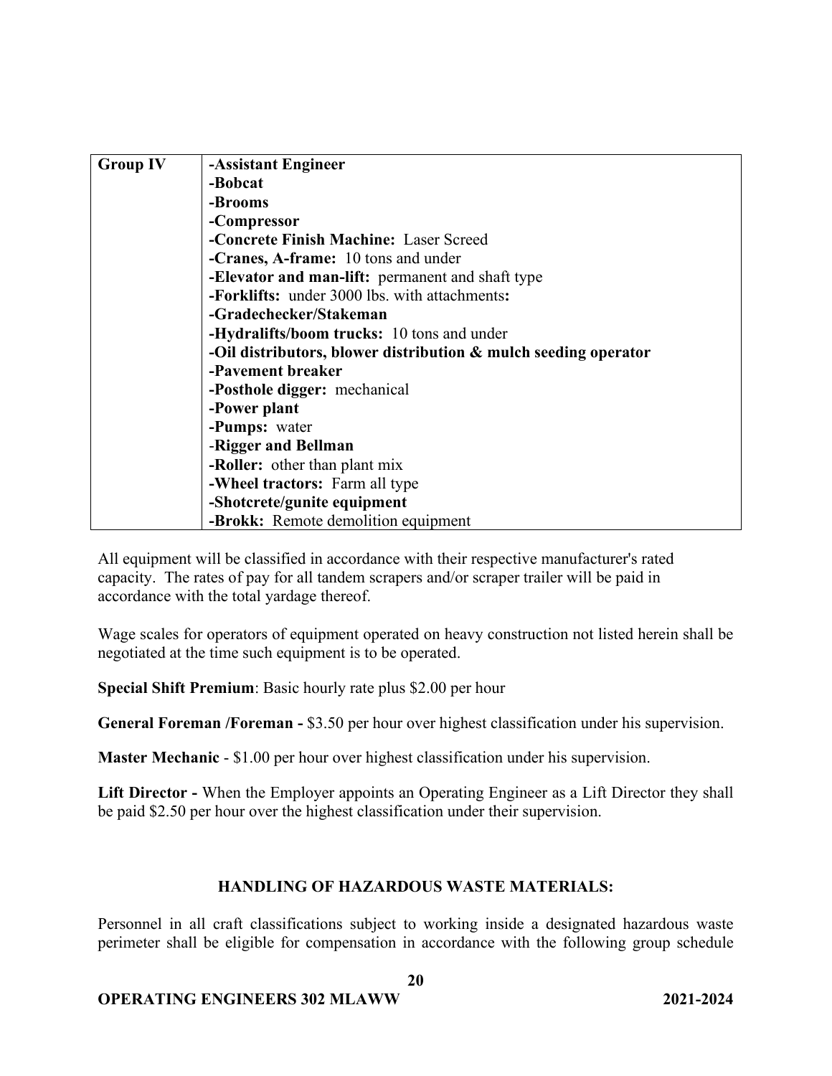| <b>Group IV</b> | -Assistant Engineer                                                |
|-----------------|--------------------------------------------------------------------|
|                 | -Bobcat                                                            |
|                 | -Brooms                                                            |
|                 | -Compressor                                                        |
|                 | -Concrete Finish Machine: Laser Screed                             |
|                 | -Cranes, A-frame: 10 tons and under                                |
|                 | -Elevator and man-lift: permanent and shaft type                   |
|                 | -Forklifts: under 3000 lbs. with attachments:                      |
|                 | -Gradechecker/Stakeman                                             |
|                 | -Hydralifts/boom trucks: 10 tons and under                         |
|                 | -Oil distributors, blower distribution $\&$ mulch seeding operator |
|                 | -Pavement breaker                                                  |
|                 | -Posthole digger: mechanical                                       |
|                 | -Power plant                                                       |
|                 | -Pumps: water                                                      |
|                 | -Rigger and Bellman                                                |
|                 | -Roller: other than plant mix                                      |
|                 | -Wheel tractors: Farm all type                                     |
|                 | -Shotcrete/gunite equipment                                        |
|                 | -Brokk: Remote demolition equipment                                |

All equipment will be classified in accordance with their respective manufacturer's rated capacity. The rates of pay for all tandem scrapers and/or scraper trailer will be paid in accordance with the total yardage thereof.

Wage scales for operators of equipment operated on heavy construction not listed herein shall be negotiated at the time such equipment is to be operated.

**Special Shift Premium**: Basic hourly rate plus \$2.00 per hour

**General Foreman /Foreman -** \$3.50 per hour over highest classification under his supervision.

**Master Mechanic** - \$1.00 per hour over highest classification under his supervision.

**Lift Director -** When the Employer appoints an Operating Engineer as a Lift Director they shall be paid \$2.50 per hour over the highest classification under their supervision.

# **HANDLING OF HAZARDOUS WASTE MATERIALS:**

Personnel in all craft classifications subject to working inside a designated hazardous waste perimeter shall be eligible for compensation in accordance with the following group schedule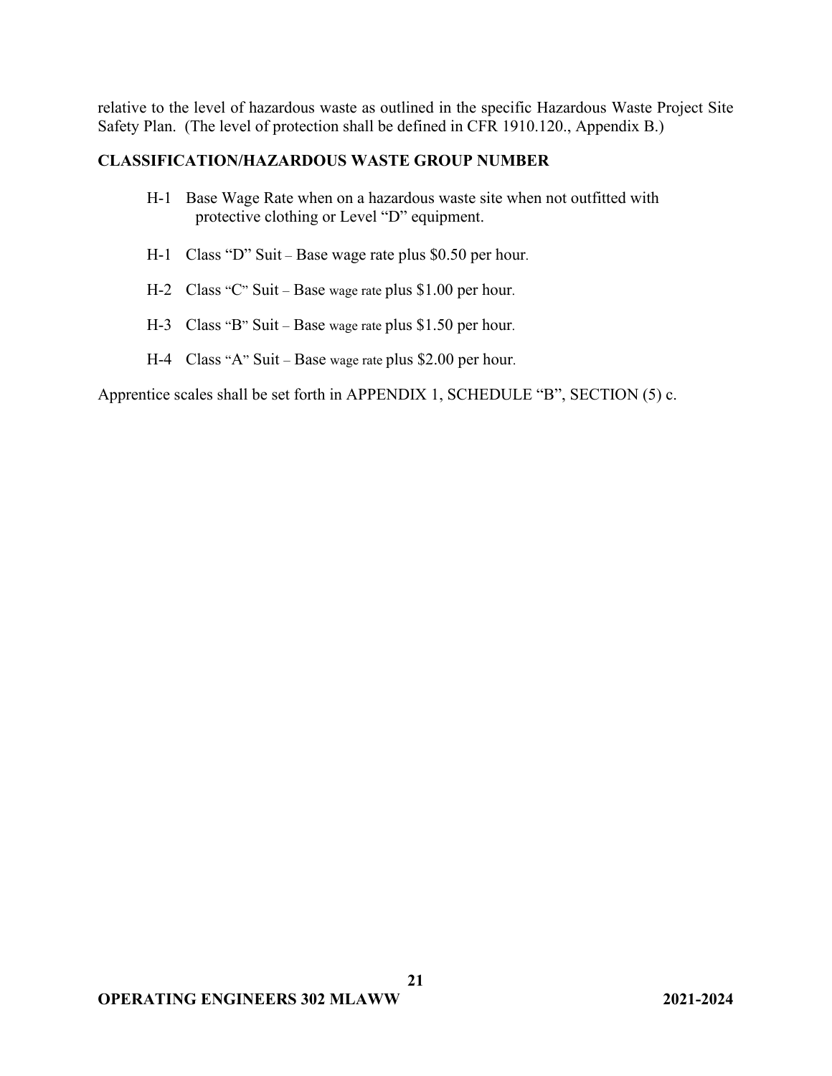relative to the level of hazardous waste as outlined in the specific Hazardous Waste Project Site Safety Plan. (The level of protection shall be defined in CFR 1910.120., Appendix B.)

## **CLASSIFICATION/HAZARDOUS WASTE GROUP NUMBER**

- H-1 Base Wage Rate when on a hazardous waste site when not outfitted with protective clothing or Level "D" equipment.
- H-1 Class "D" Suit Base wage rate plus \$0.50 per hour.
- H-2 Class "C" Suit Base wage rate plus \$1.00 per hour.
- H-3 Class "B" Suit Base wage rate plus \$1.50 per hour.
- H-4 Class "A" Suit Base wage rate plus \$2.00 per hour.

Apprentice scales shall be set forth in APPENDIX 1, SCHEDULE "B", SECTION (5) c.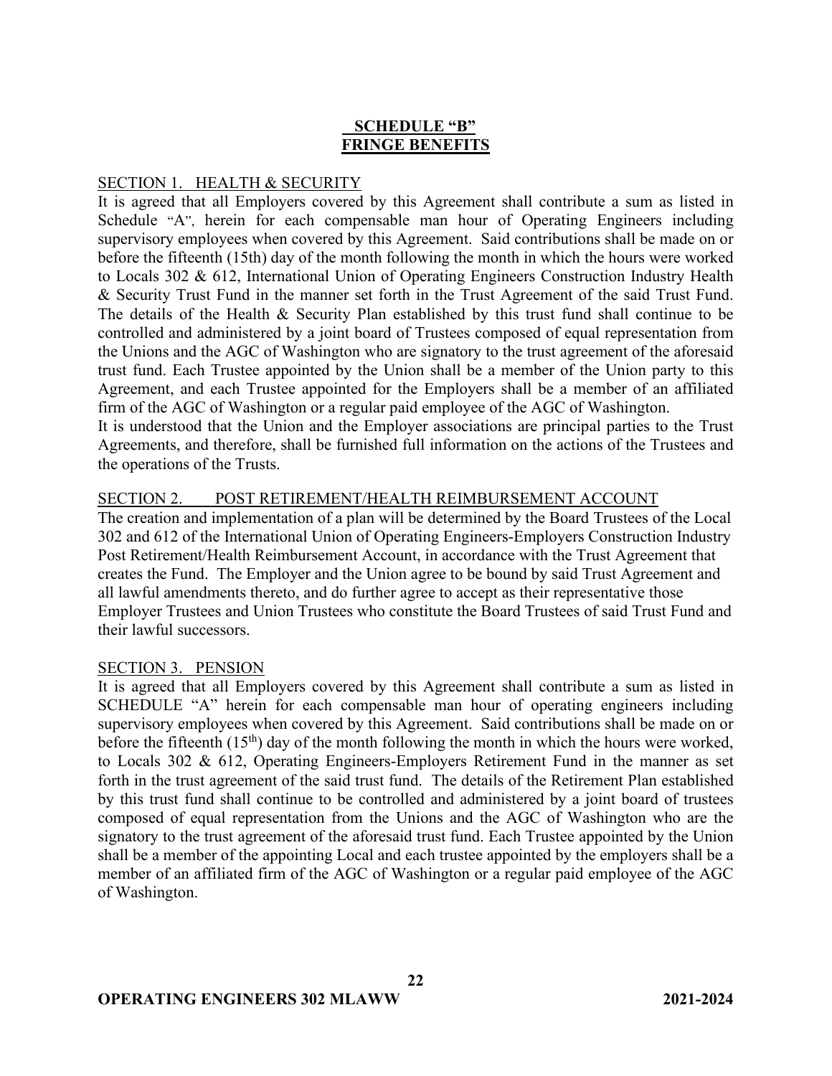# **SCHEDULE "B" FRINGE BENEFITS**

## SECTION 1. HEALTH & SECURITY

It is agreed that all Employers covered by this Agreement shall contribute a sum as listed in Schedule "A", herein for each compensable man hour of Operating Engineers including supervisory employees when covered by this Agreement. Said contributions shall be made on or before the fifteenth (15th) day of the month following the month in which the hours were worked to Locals 302 & 612, International Union of Operating Engineers Construction Industry Health & Security Trust Fund in the manner set forth in the Trust Agreement of the said Trust Fund. The details of the Health & Security Plan established by this trust fund shall continue to be controlled and administered by a joint board of Trustees composed of equal representation from the Unions and the AGC of Washington who are signatory to the trust agreement of the aforesaid trust fund. Each Trustee appointed by the Union shall be a member of the Union party to this Agreement, and each Trustee appointed for the Employers shall be a member of an affiliated firm of the AGC of Washington or a regular paid employee of the AGC of Washington.

It is understood that the Union and the Employer associations are principal parties to the Trust Agreements, and therefore, shall be furnished full information on the actions of the Trustees and the operations of the Trusts.

## SECTION 2. POST RETIREMENT/HEALTH REIMBURSEMENT ACCOUNT

The creation and implementation of a plan will be determined by the Board Trustees of the Local 302 and 612 of the International Union of Operating Engineers-Employers Construction Industry Post Retirement/Health Reimbursement Account, in accordance with the Trust Agreement that creates the Fund. The Employer and the Union agree to be bound by said Trust Agreement and all lawful amendments thereto, and do further agree to accept as their representative those Employer Trustees and Union Trustees who constitute the Board Trustees of said Trust Fund and their lawful successors.

## SECTION 3. PENSION

It is agreed that all Employers covered by this Agreement shall contribute a sum as listed in SCHEDULE "A" herein for each compensable man hour of operating engineers including supervisory employees when covered by this Agreement. Said contributions shall be made on or before the fifteenth  $(15<sup>th</sup>)$  day of the month following the month in which the hours were worked, to Locals 302 & 612, Operating Engineers-Employers Retirement Fund in the manner as set forth in the trust agreement of the said trust fund. The details of the Retirement Plan established by this trust fund shall continue to be controlled and administered by a joint board of trustees composed of equal representation from the Unions and the AGC of Washington who are the signatory to the trust agreement of the aforesaid trust fund. Each Trustee appointed by the Union shall be a member of the appointing Local and each trustee appointed by the employers shall be a member of an affiliated firm of the AGC of Washington or a regular paid employee of the AGC of Washington.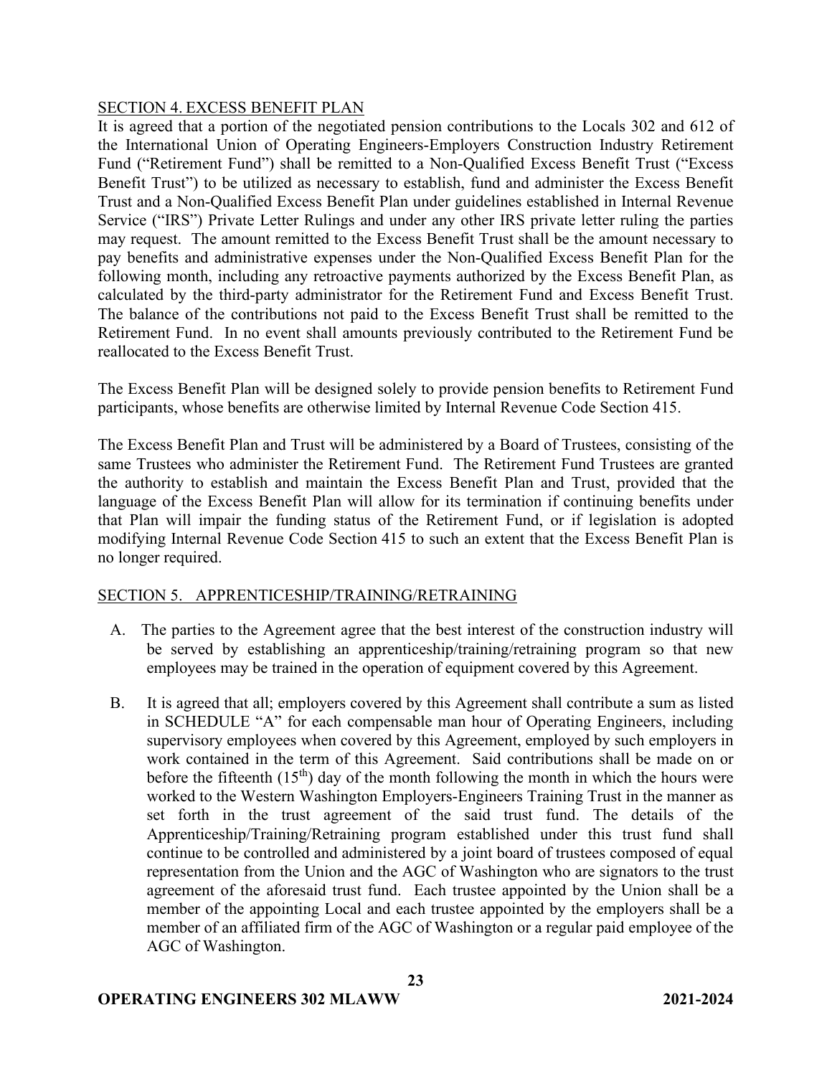### SECTION 4. EXCESS BENEFIT PLAN

It is agreed that a portion of the negotiated pension contributions to the Locals 302 and 612 of the International Union of Operating Engineers-Employers Construction Industry Retirement Fund ("Retirement Fund") shall be remitted to a Non-Qualified Excess Benefit Trust ("Excess Benefit Trust") to be utilized as necessary to establish, fund and administer the Excess Benefit Trust and a Non-Qualified Excess Benefit Plan under guidelines established in Internal Revenue Service ("IRS") Private Letter Rulings and under any other IRS private letter ruling the parties may request. The amount remitted to the Excess Benefit Trust shall be the amount necessary to pay benefits and administrative expenses under the Non-Qualified Excess Benefit Plan for the following month, including any retroactive payments authorized by the Excess Benefit Plan, as calculated by the third-party administrator for the Retirement Fund and Excess Benefit Trust. The balance of the contributions not paid to the Excess Benefit Trust shall be remitted to the Retirement Fund. In no event shall amounts previously contributed to the Retirement Fund be reallocated to the Excess Benefit Trust.

The Excess Benefit Plan will be designed solely to provide pension benefits to Retirement Fund participants, whose benefits are otherwise limited by Internal Revenue Code Section 415.

The Excess Benefit Plan and Trust will be administered by a Board of Trustees, consisting of the same Trustees who administer the Retirement Fund. The Retirement Fund Trustees are granted the authority to establish and maintain the Excess Benefit Plan and Trust, provided that the language of the Excess Benefit Plan will allow for its termination if continuing benefits under that Plan will impair the funding status of the Retirement Fund, or if legislation is adopted modifying Internal Revenue Code Section 415 to such an extent that the Excess Benefit Plan is no longer required.

## SECTION 5. APPRENTICESHIP/TRAINING/RETRAINING

- A. The parties to the Agreement agree that the best interest of the construction industry will be served by establishing an apprenticeship/training/retraining program so that new employees may be trained in the operation of equipment covered by this Agreement.
- B. It is agreed that all; employers covered by this Agreement shall contribute a sum as listed in SCHEDULE "A" for each compensable man hour of Operating Engineers, including supervisory employees when covered by this Agreement, employed by such employers in work contained in the term of this Agreement. Said contributions shall be made on or before the fifteenth  $(15<sup>th</sup>)$  day of the month following the month in which the hours were worked to the Western Washington Employers-Engineers Training Trust in the manner as set forth in the trust agreement of the said trust fund. The details of the Apprenticeship/Training/Retraining program established under this trust fund shall continue to be controlled and administered by a joint board of trustees composed of equal representation from the Union and the AGC of Washington who are signators to the trust agreement of the aforesaid trust fund. Each trustee appointed by the Union shall be a member of the appointing Local and each trustee appointed by the employers shall be a member of an affiliated firm of the AGC of Washington or a regular paid employee of the AGC of Washington.

**23**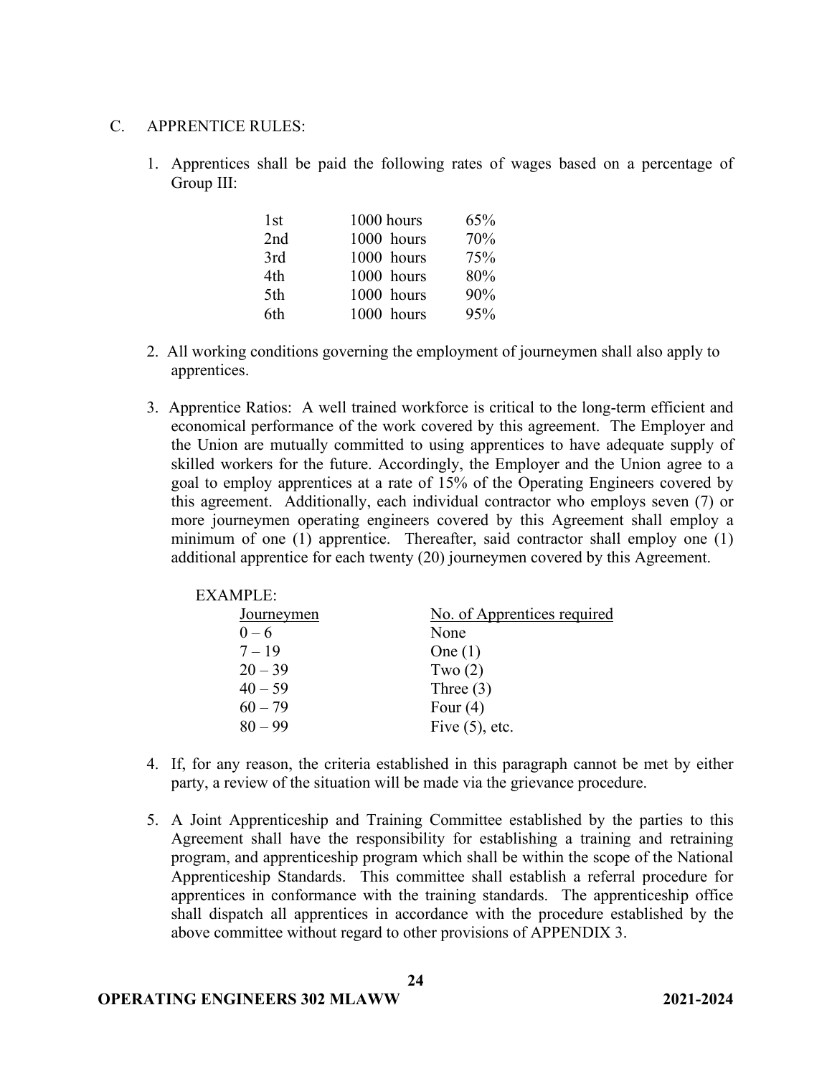### C. APPRENTICE RULES:

1. Apprentices shall be paid the following rates of wages based on a percentage of Group III:

| 1st | 1000 hours | 65% |
|-----|------------|-----|
| 2nd | 1000 hours | 70% |
| 3rd | 1000 hours | 75% |
| 4th | 1000 hours | 80% |
| 5th | 1000 hours | 90% |
| 6th | 1000 hours | 95% |

- 2. All working conditions governing the employment of journeymen shall also apply to apprentices.
- 3. Apprentice Ratios: A well trained workforce is critical to the long-term efficient and economical performance of the work covered by this agreement. The Employer and the Union are mutually committed to using apprentices to have adequate supply of skilled workers for the future. Accordingly, the Employer and the Union agree to a goal to employ apprentices at a rate of 15% of the Operating Engineers covered by this agreement.Additionally, each individual contractor who employs seven (7) or more journeymen operating engineers covered by this Agreement shall employ a minimum of one (1) apprentice. Thereafter, said contractor shall employ one (1) additional apprentice for each twenty (20) journeymen covered by this Agreement.

| Journeymen | No. of Apprentices required |
|------------|-----------------------------|
| $0 - 6$    | None                        |
| $7 - 19$   | One $(1)$                   |
| $20 - 39$  | Two $(2)$                   |
| $40 - 59$  | Three $(3)$                 |
| $60 - 79$  | Four $(4)$                  |
| $80 - 99$  | Five $(5)$ , etc.           |
|            |                             |

- 4. If, for any reason, the criteria established in this paragraph cannot be met by either party, a review of the situation will be made via the grievance procedure.
- 5. A Joint Apprenticeship and Training Committee established by the parties to this Agreement shall have the responsibility for establishing a training and retraining program, and apprenticeship program which shall be within the scope of the National Apprenticeship Standards. This committee shall establish a referral procedure for apprentices in conformance with the training standards. The apprenticeship office shall dispatch all apprentices in accordance with the procedure established by the above committee without regard to other provisions of APPENDIX 3.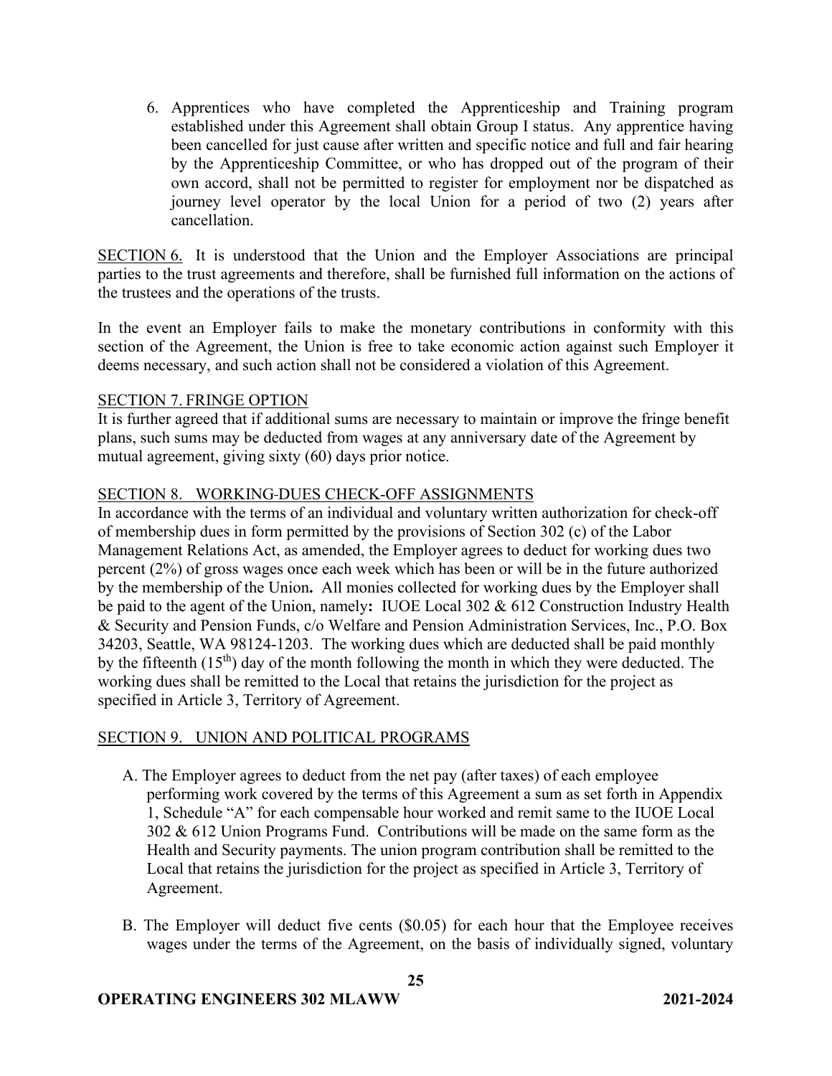6. Apprentices who have completed the Apprenticeship and Training program established under this Agreement shall obtain Group I status. Any apprentice having been cancelled for just cause after written and specific notice and full and fair hearing by the Apprenticeship Committee, or who has dropped out of the program of their own accord, shall not be permitted to register for employment nor be dispatched as journey level operator by the local Union for a period of two (2) years after cancellation.

SECTION 6. It is understood that the Union and the Employer Associations are principal parties to the trust agreements and therefore, shall be furnished full information on the actions of the trustees and the operations of the trusts.

In the event an Employer fails to make the monetary contributions in conformity with this section of the Agreement, the Union is free to take economic action against such Employer it deems necessary, and such action shall not be considered a violation of this Agreement.

## SECTION 7. FRINGE OPTION

It is further agreed that if additional sums are necessary to maintain or improve the fringe benefit plans, such sums may be deducted from wages at any anniversary date of the Agreement by mutual agreement, giving sixty (60) days prior notice.

## SECTION 8. WORKING DUES CHECK-OFF ASSIGNMENTS

In accordance with the terms of an individual and voluntary written authorization for check-off of membership dues in form permitted by the provisions of Section 302 (c) of the Labor Management Relations Act, as amended, the Employer agrees to deduct for working dues two percent (2%) of gross wages once each week which has been or will be in the future authorized by the membership of the Union**.** All monies collected for working dues by the Employer shall be paid to the agent of the Union, namely**:** IUOE Local 302 & 612 Construction Industry Health & Security and Pension Funds, c/o Welfare and Pension Administration Services, Inc., P.O. Box 34203, Seattle, WA 98124-1203. The working dues which are deducted shall be paid monthly by the fifteenth  $(15<sup>th</sup>)$  day of the month following the month in which they were deducted. The working dues shall be remitted to the Local that retains the jurisdiction for the project as specified in Article 3, Territory of Agreement.

## SECTION 9. UNION AND POLITICAL PROGRAMS

- A. The Employer agrees to deduct from the net pay (after taxes) of each employee performing work covered by the terms of this Agreement a sum as set forth in Appendix 1, Schedule "A" for each compensable hour worked and remit same to the IUOE Local 302 & 612 Union Programs Fund. Contributions will be made on the same form as the Health and Security payments. The union program contribution shall be remitted to the Local that retains the jurisdiction for the project as specified in Article 3, Territory of Agreement.
- B. The Employer will deduct five cents (\$0.05) for each hour that the Employee receives wages under the terms of the Agreement, on the basis of individually signed, voluntary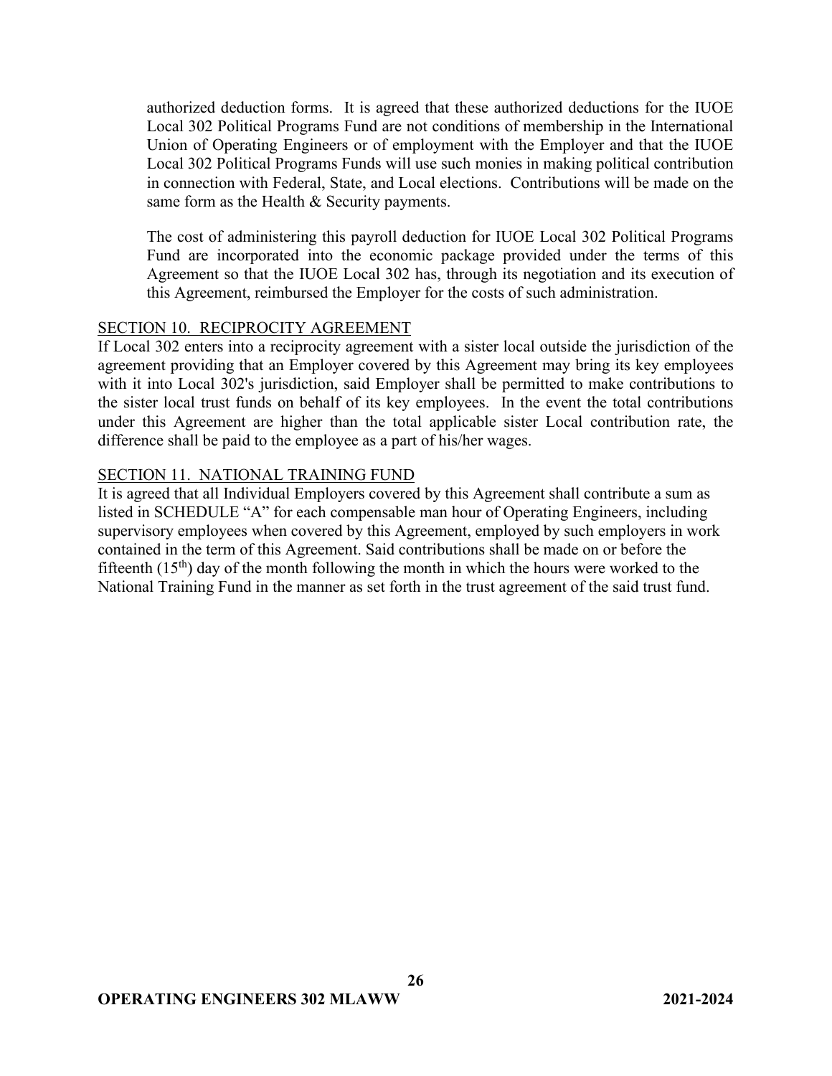authorized deduction forms. It is agreed that these authorized deductions for the IUOE Local 302 Political Programs Fund are not conditions of membership in the International Union of Operating Engineers or of employment with the Employer and that the IUOE Local 302 Political Programs Funds will use such monies in making political contribution in connection with Federal, State, and Local elections. Contributions will be made on the same form as the Health & Security payments.

The cost of administering this payroll deduction for IUOE Local 302 Political Programs Fund are incorporated into the economic package provided under the terms of this Agreement so that the IUOE Local 302 has, through its negotiation and its execution of this Agreement, reimbursed the Employer for the costs of such administration.

## SECTION 10. RECIPROCITY AGREEMENT

If Local 302 enters into a reciprocity agreement with a sister local outside the jurisdiction of the agreement providing that an Employer covered by this Agreement may bring its key employees with it into Local 302's jurisdiction, said Employer shall be permitted to make contributions to the sister local trust funds on behalf of its key employees. In the event the total contributions under this Agreement are higher than the total applicable sister Local contribution rate, the difference shall be paid to the employee as a part of his/her wages.

### SECTION 11. NATIONAL TRAINING FUND

It is agreed that all Individual Employers covered by this Agreement shall contribute a sum as listed in SCHEDULE "A" for each compensable man hour of Operating Engineers, including supervisory employees when covered by this Agreement, employed by such employers in work contained in the term of this Agreement. Said contributions shall be made on or before the fifteenth  $(15<sup>th</sup>)$  day of the month following the month in which the hours were worked to the National Training Fund in the manner as set forth in the trust agreement of the said trust fund.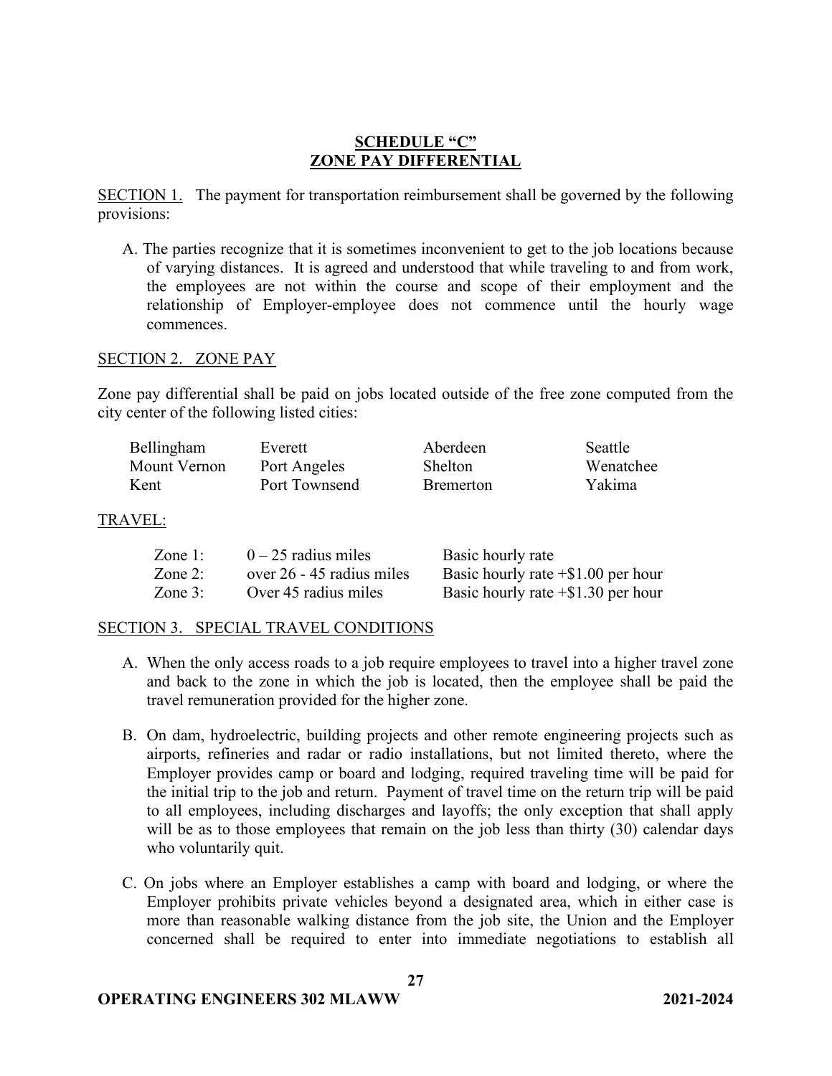# **SCHEDULE "C" ZONE PAY DIFFERENTIAL**

SECTION 1. The payment for transportation reimbursement shall be governed by the following provisions:

A. The parties recognize that it is sometimes inconvenient to get to the job locations because of varying distances. It is agreed and understood that while traveling to and from work, the employees are not within the course and scope of their employment and the relationship of Employer-employee does not commence until the hourly wage commences.

### SECTION 2. ZONE PAY

Zone pay differential shall be paid on jobs located outside of the free zone computed from the city center of the following listed cities:

| Bellingham   | Everett       | Aberdeen          | Seattle   |
|--------------|---------------|-------------------|-----------|
| Mount Vernon | Port Angeles  | Shelton           | Wenatchee |
| Kent         | Port Townsend | <b>B</b> remerton | Yakima    |

### TRAVEL:

| Zone 1:   | $0 - 25$ radius miles     | Basic hourly rate                     |
|-----------|---------------------------|---------------------------------------|
| Zone 2:   | over 26 - 45 radius miles | Basic hourly rate $+$ \$1.00 per hour |
| Zone $3:$ | Over 45 radius miles      | Basic hourly rate $+$ \$1.30 per hour |

## SECTION 3. SPECIAL TRAVEL CONDITIONS

- A. When the only access roads to a job require employees to travel into a higher travel zone and back to the zone in which the job is located, then the employee shall be paid the travel remuneration provided for the higher zone.
- B. On dam, hydroelectric, building projects and other remote engineering projects such as airports, refineries and radar or radio installations, but not limited thereto, where the Employer provides camp or board and lodging, required traveling time will be paid for the initial trip to the job and return. Payment of travel time on the return trip will be paid to all employees, including discharges and layoffs; the only exception that shall apply will be as to those employees that remain on the job less than thirty (30) calendar days who voluntarily quit.
- C. On jobs where an Employer establishes a camp with board and lodging, or where the Employer prohibits private vehicles beyond a designated area, which in either case is more than reasonable walking distance from the job site, the Union and the Employer concerned shall be required to enter into immediate negotiations to establish all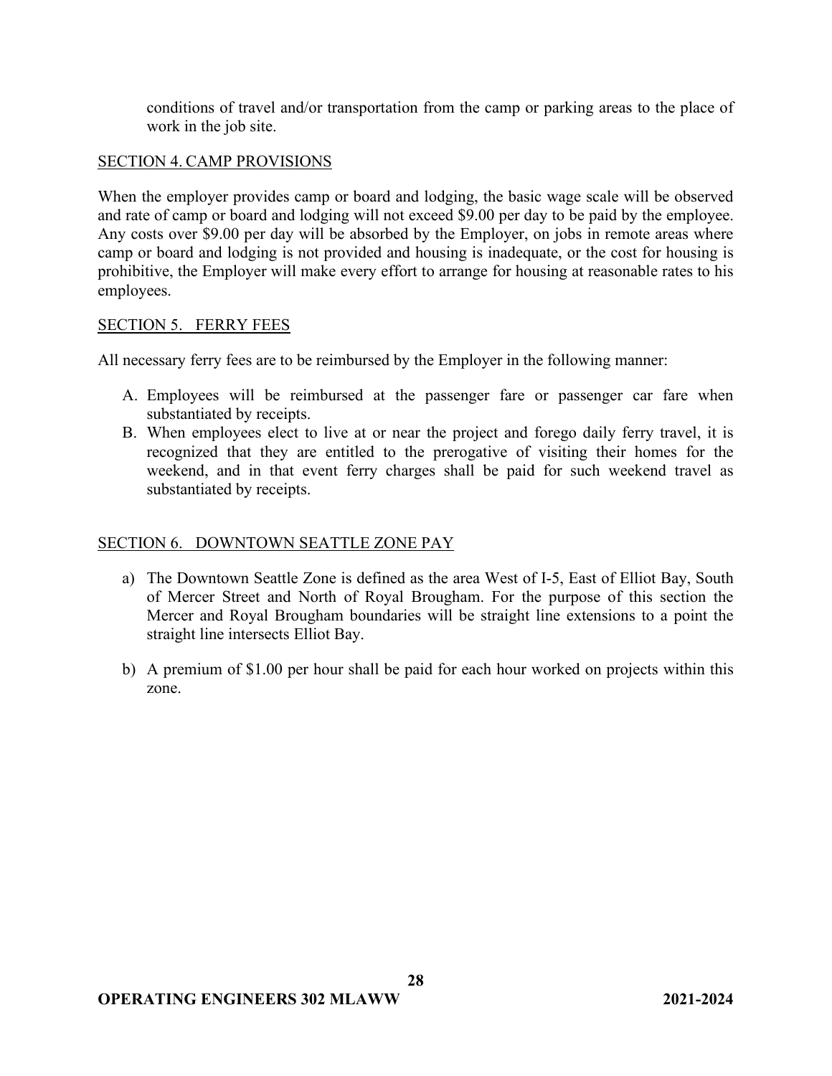conditions of travel and/or transportation from the camp or parking areas to the place of work in the job site.

## SECTION 4. CAMP PROVISIONS

When the employer provides camp or board and lodging, the basic wage scale will be observed and rate of camp or board and lodging will not exceed \$9.00 per day to be paid by the employee. Any costs over \$9.00 per day will be absorbed by the Employer, on jobs in remote areas where camp or board and lodging is not provided and housing is inadequate, or the cost for housing is prohibitive, the Employer will make every effort to arrange for housing at reasonable rates to his employees.

## SECTION 5. FERRY FEES

All necessary ferry fees are to be reimbursed by the Employer in the following manner:

- A. Employees will be reimbursed at the passenger fare or passenger car fare when substantiated by receipts.
- B. When employees elect to live at or near the project and forego daily ferry travel, it is recognized that they are entitled to the prerogative of visiting their homes for the weekend, and in that event ferry charges shall be paid for such weekend travel as substantiated by receipts.

## SECTION 6. DOWNTOWN SEATTLE ZONE PAY

- a) The Downtown Seattle Zone is defined as the area West of I-5, East of Elliot Bay, South of Mercer Street and North of Royal Brougham. For the purpose of this section the Mercer and Royal Brougham boundaries will be straight line extensions to a point the straight line intersects Elliot Bay.
- b) A premium of \$1.00 per hour shall be paid for each hour worked on projects within this zone.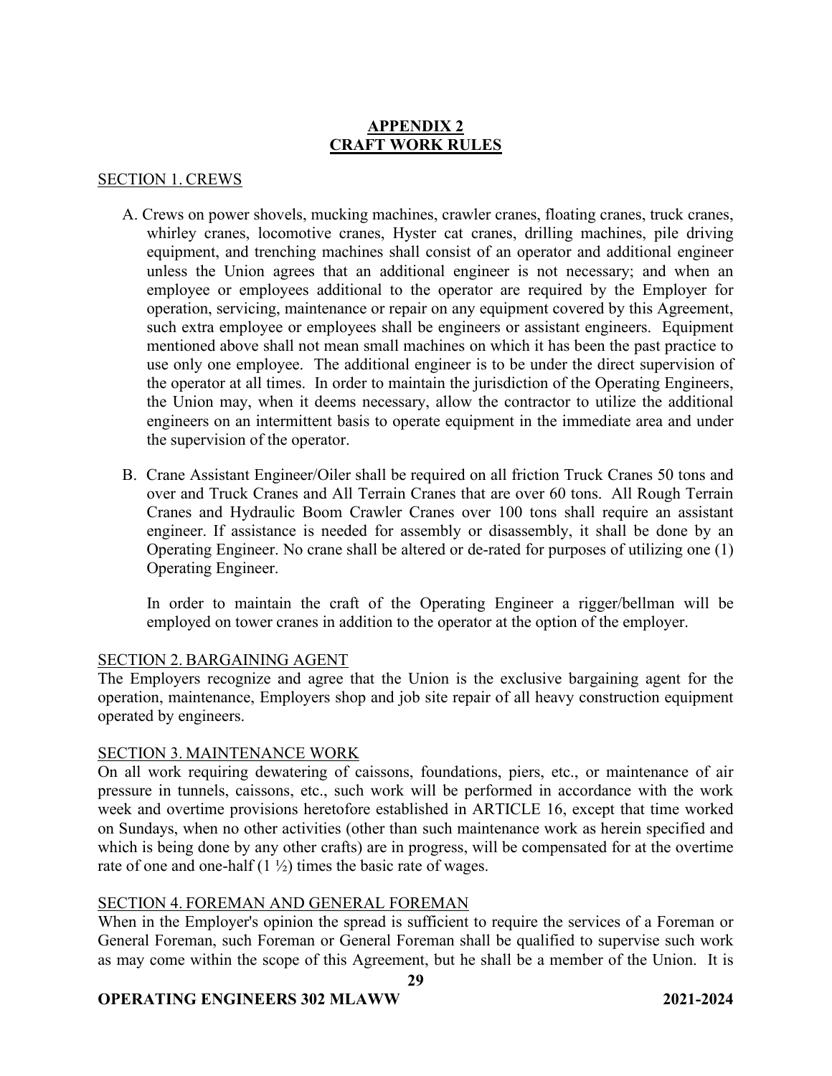# **APPENDIX 2 CRAFT WORK RULES**

## SECTION 1. CREWS

- A. Crews on power shovels, mucking machines, crawler cranes, floating cranes, truck cranes, whirley cranes, locomotive cranes, Hyster cat cranes, drilling machines, pile driving equipment, and trenching machines shall consist of an operator and additional engineer unless the Union agrees that an additional engineer is not necessary; and when an employee or employees additional to the operator are required by the Employer for operation, servicing, maintenance or repair on any equipment covered by this Agreement, such extra employee or employees shall be engineers or assistant engineers. Equipment mentioned above shall not mean small machines on which it has been the past practice to use only one employee. The additional engineer is to be under the direct supervision of the operator at all times. In order to maintain the jurisdiction of the Operating Engineers, the Union may, when it deems necessary, allow the contractor to utilize the additional engineers on an intermittent basis to operate equipment in the immediate area and under the supervision of the operator.
- B. Crane Assistant Engineer/Oiler shall be required on all friction Truck Cranes 50 tons and over and Truck Cranes and All Terrain Cranes that are over 60 tons. All Rough Terrain Cranes and Hydraulic Boom Crawler Cranes over 100 tons shall require an assistant engineer. If assistance is needed for assembly or disassembly, it shall be done by an Operating Engineer. No crane shall be altered or de-rated for purposes of utilizing one (1) Operating Engineer.

In order to maintain the craft of the Operating Engineer a rigger/bellman will be employed on tower cranes in addition to the operator at the option of the employer.

## SECTION 2. BARGAINING AGENT

The Employers recognize and agree that the Union is the exclusive bargaining agent for the operation, maintenance, Employers shop and job site repair of all heavy construction equipment operated by engineers.

## SECTION 3. MAINTENANCE WORK

On all work requiring dewatering of caissons, foundations, piers, etc., or maintenance of air pressure in tunnels, caissons, etc., such work will be performed in accordance with the work week and overtime provisions heretofore established in ARTICLE 16, except that time worked on Sundays, when no other activities (other than such maintenance work as herein specified and which is being done by any other crafts) are in progress, will be compensated for at the overtime rate of one and one-half  $(1 \frac{1}{2})$  times the basic rate of wages.

# SECTION 4. FOREMAN AND GENERAL FOREMAN

When in the Employer's opinion the spread is sufficient to require the services of a Foreman or General Foreman, such Foreman or General Foreman shall be qualified to supervise such work as may come within the scope of this Agreement, but he shall be a member of the Union. It is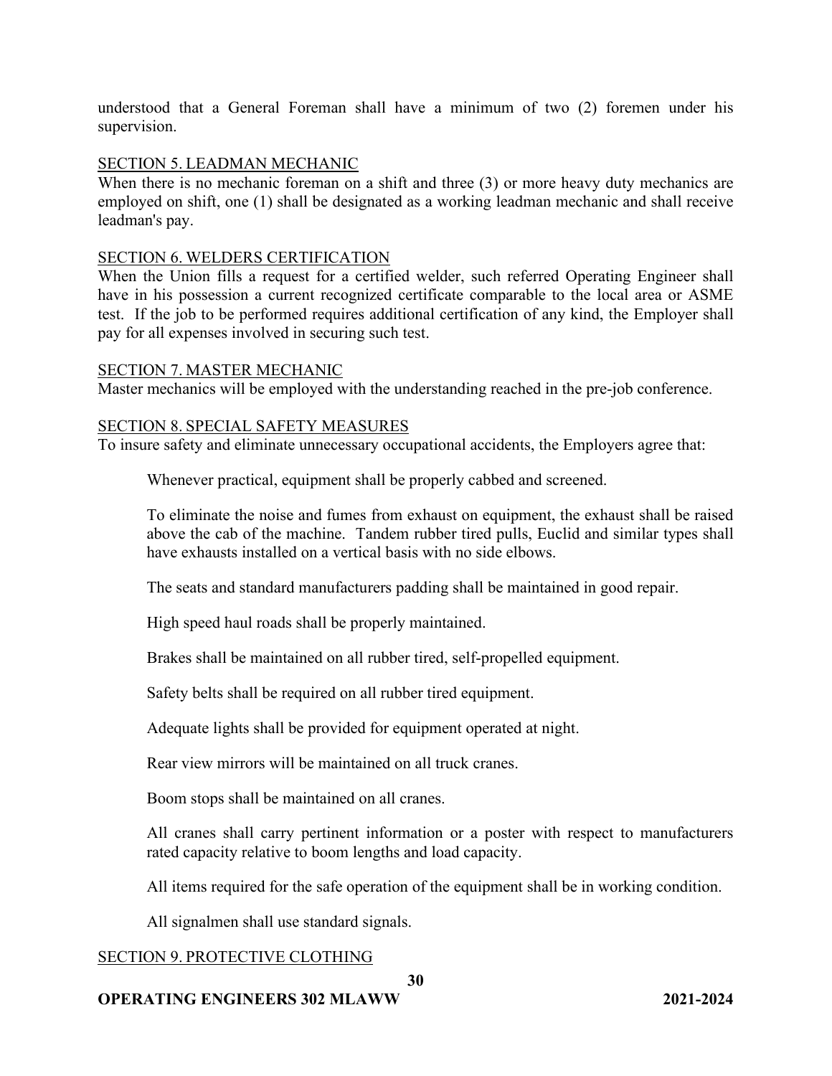understood that a General Foreman shall have a minimum of two (2) foremen under his supervision.

### SECTION 5. LEADMAN MECHANIC

When there is no mechanic foreman on a shift and three (3) or more heavy duty mechanics are employed on shift, one (1) shall be designated as a working leadman mechanic and shall receive leadman's pay.

### SECTION 6. WELDERS CERTIFICATION

When the Union fills a request for a certified welder, such referred Operating Engineer shall have in his possession a current recognized certificate comparable to the local area or ASME test. If the job to be performed requires additional certification of any kind, the Employer shall pay for all expenses involved in securing such test.

### SECTION 7. MASTER MECHANIC

Master mechanics will be employed with the understanding reached in the pre-job conference.

### SECTION 8. SPECIAL SAFETY MEASURES

To insure safety and eliminate unnecessary occupational accidents, the Employers agree that:

Whenever practical, equipment shall be properly cabbed and screened.

To eliminate the noise and fumes from exhaust on equipment, the exhaust shall be raised above the cab of the machine. Tandem rubber tired pulls, Euclid and similar types shall have exhausts installed on a vertical basis with no side elbows.

The seats and standard manufacturers padding shall be maintained in good repair.

High speed haul roads shall be properly maintained.

Brakes shall be maintained on all rubber tired, self-propelled equipment.

Safety belts shall be required on all rubber tired equipment.

Adequate lights shall be provided for equipment operated at night.

Rear view mirrors will be maintained on all truck cranes.

Boom stops shall be maintained on all cranes.

All cranes shall carry pertinent information or a poster with respect to manufacturers rated capacity relative to boom lengths and load capacity.

All items required for the safe operation of the equipment shall be in working condition.

All signalmen shall use standard signals.

## SECTION 9. PROTECTIVE CLOTHING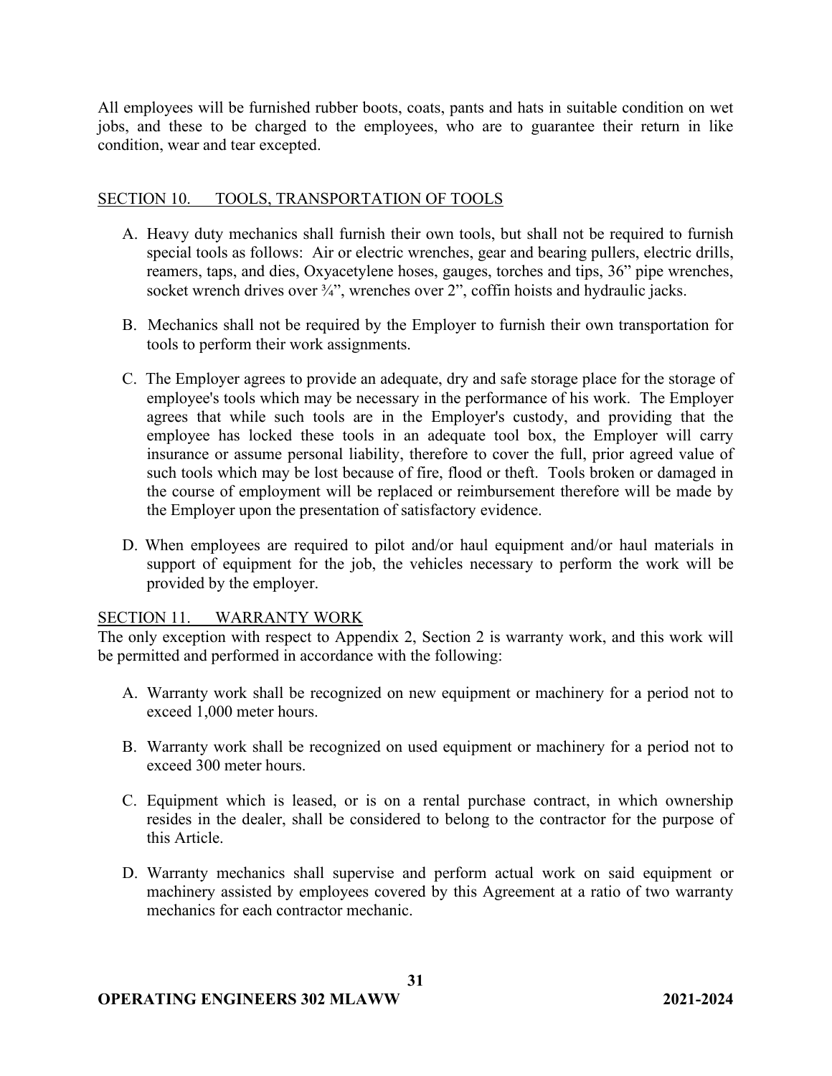All employees will be furnished rubber boots, coats, pants and hats in suitable condition on wet jobs, and these to be charged to the employees, who are to guarantee their return in like condition, wear and tear excepted.

## SECTION 10. TOOLS, TRANSPORTATION OF TOOLS

- A. Heavy duty mechanics shall furnish their own tools, but shall not be required to furnish special tools as follows: Air or electric wrenches, gear and bearing pullers, electric drills, reamers, taps, and dies, Oxyacetylene hoses, gauges, torches and tips, 36" pipe wrenches, socket wrench drives over 3/4", wrenches over 2", coffin hoists and hydraulic jacks.
- B. Mechanics shall not be required by the Employer to furnish their own transportation for tools to perform their work assignments.
- C. The Employer agrees to provide an adequate, dry and safe storage place for the storage of employee's tools which may be necessary in the performance of his work. The Employer agrees that while such tools are in the Employer's custody, and providing that the employee has locked these tools in an adequate tool box, the Employer will carry insurance or assume personal liability, therefore to cover the full, prior agreed value of such tools which may be lost because of fire, flood or theft. Tools broken or damaged in the course of employment will be replaced or reimbursement therefore will be made by the Employer upon the presentation of satisfactory evidence.
- D. When employees are required to pilot and/or haul equipment and/or haul materials in support of equipment for the job, the vehicles necessary to perform the work will be provided by the employer.

## SECTION 11. WARRANTY WORK

The only exception with respect to Appendix 2, Section 2 is warranty work, and this work will be permitted and performed in accordance with the following:

- A. Warranty work shall be recognized on new equipment or machinery for a period not to exceed 1,000 meter hours.
- B. Warranty work shall be recognized on used equipment or machinery for a period not to exceed 300 meter hours.
- C. Equipment which is leased, or is on a rental purchase contract, in which ownership resides in the dealer, shall be considered to belong to the contractor for the purpose of this Article.
- D. Warranty mechanics shall supervise and perform actual work on said equipment or machinery assisted by employees covered by this Agreement at a ratio of two warranty mechanics for each contractor mechanic.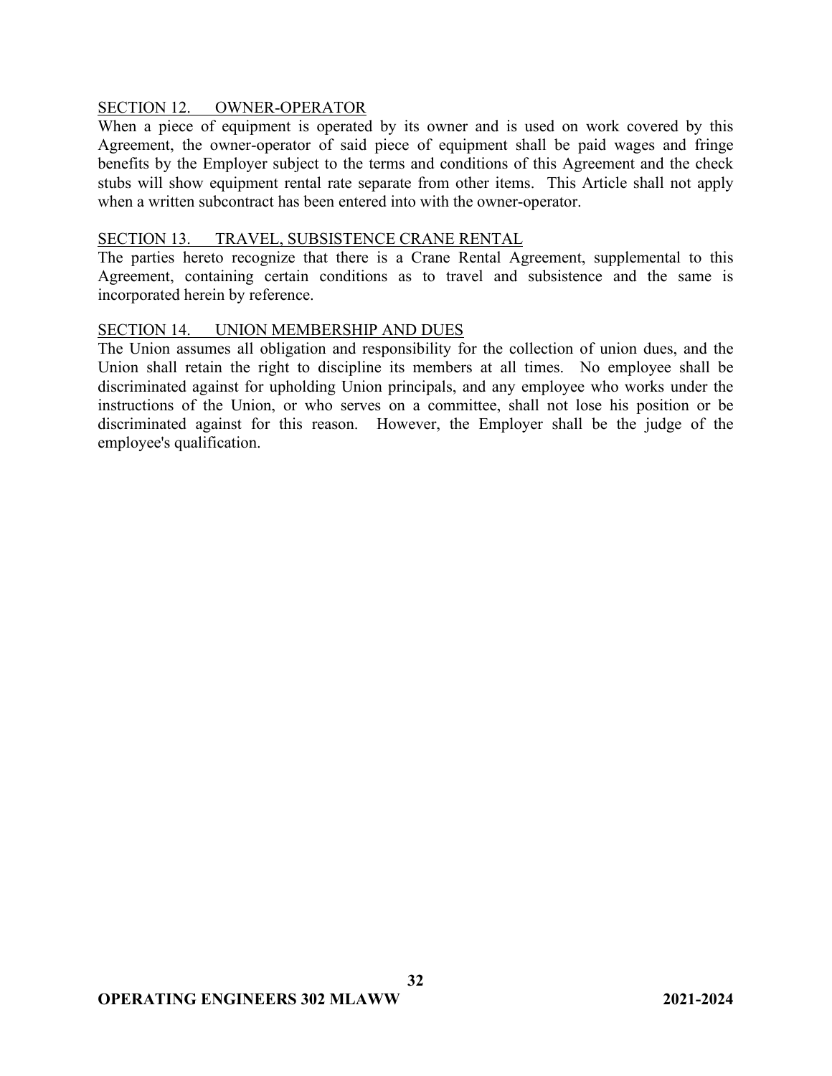## SECTION 12. OWNER-OPERATOR

When a piece of equipment is operated by its owner and is used on work covered by this Agreement, the owner-operator of said piece of equipment shall be paid wages and fringe benefits by the Employer subject to the terms and conditions of this Agreement and the check stubs will show equipment rental rate separate from other items. This Article shall not apply when a written subcontract has been entered into with the owner-operator.

### SECTION 13. TRAVEL, SUBSISTENCE CRANE RENTAL

The parties hereto recognize that there is a Crane Rental Agreement, supplemental to this Agreement, containing certain conditions as to travel and subsistence and the same is incorporated herein by reference.

## SECTION 14. UNION MEMBERSHIP AND DUES

The Union assumes all obligation and responsibility for the collection of union dues, and the Union shall retain the right to discipline its members at all times. No employee shall be discriminated against for upholding Union principals, and any employee who works under the instructions of the Union, or who serves on a committee, shall not lose his position or be discriminated against for this reason. However, the Employer shall be the judge of the employee's qualification.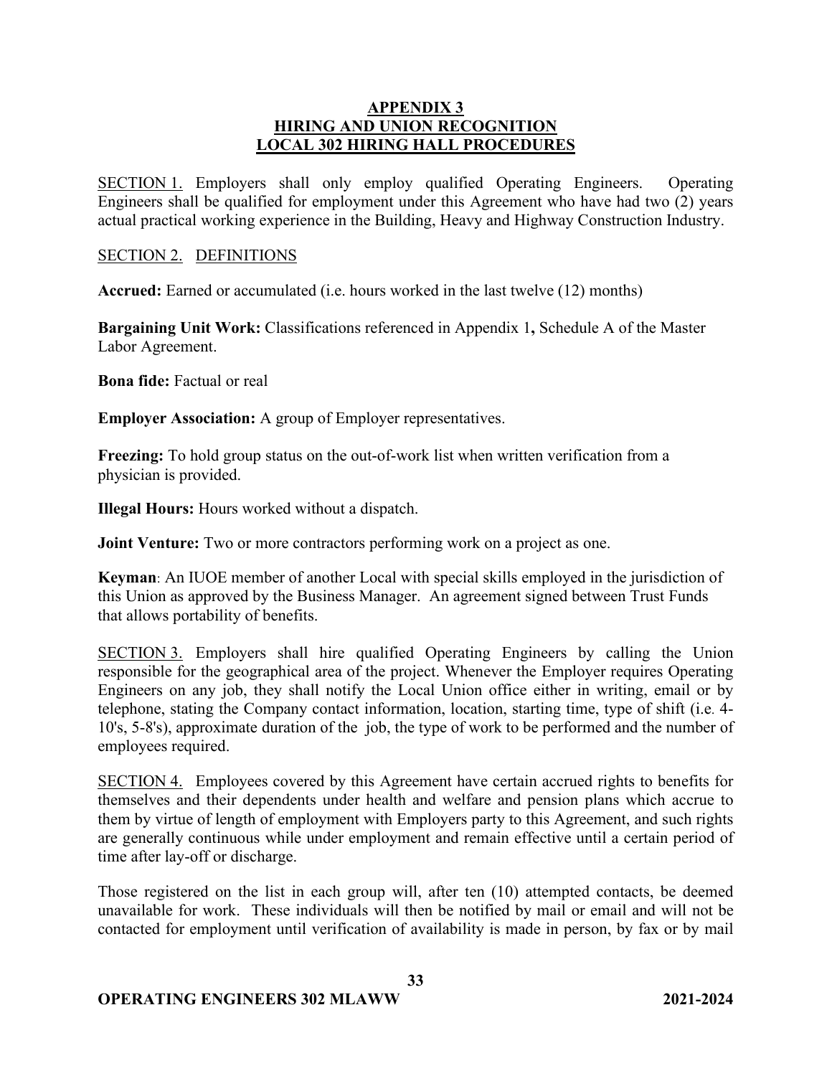## **APPENDIX 3 HIRING AND UNION RECOGNITION LOCAL 302 HIRING HALL PROCEDURES**

SECTION 1. Employers shall only employ qualified Operating Engineers. Operating Engineers shall be qualified for employment under this Agreement who have had two (2) years actual practical working experience in the Building, Heavy and Highway Construction Industry.

### SECTION 2. DEFINITIONS

**Accrued:** Earned or accumulated (i.e. hours worked in the last twelve (12) months)

**Bargaining Unit Work:** Classifications referenced in Appendix 1**,** Schedule A of the Master Labor Agreement.

**Bona fide:** Factual or real

**Employer Association:** A group of Employer representatives.

**Freezing:** To hold group status on the out-of-work list when written verification from a physician is provided.

**Illegal Hours:** Hours worked without a dispatch.

**Joint Venture:** Two or more contractors performing work on a project as one.

**Keyman**: An IUOE member of another Local with special skills employed in the jurisdiction of this Union as approved by the Business Manager. An agreement signed between Trust Funds that allows portability of benefits.

SECTION 3. Employers shall hire qualified Operating Engineers by calling the Union responsible for the geographical area of the project. Whenever the Employer requires Operating Engineers on any job, they shall notify the Local Union office either in writing, email or by telephone, stating the Company contact information, location, starting time, type of shift (i.e. 4- 10's, 5-8's), approximate duration of the job, the type of work to be performed and the number of employees required.

SECTION 4. Employees covered by this Agreement have certain accrued rights to benefits for themselves and their dependents under health and welfare and pension plans which accrue to them by virtue of length of employment with Employers party to this Agreement, and such rights are generally continuous while under employment and remain effective until a certain period of time after lay-off or discharge.

Those registered on the list in each group will, after ten (10) attempted contacts, be deemed unavailable for work. These individuals will then be notified by mail or email and will not be contacted for employment until verification of availability is made in person, by fax or by mail

**33**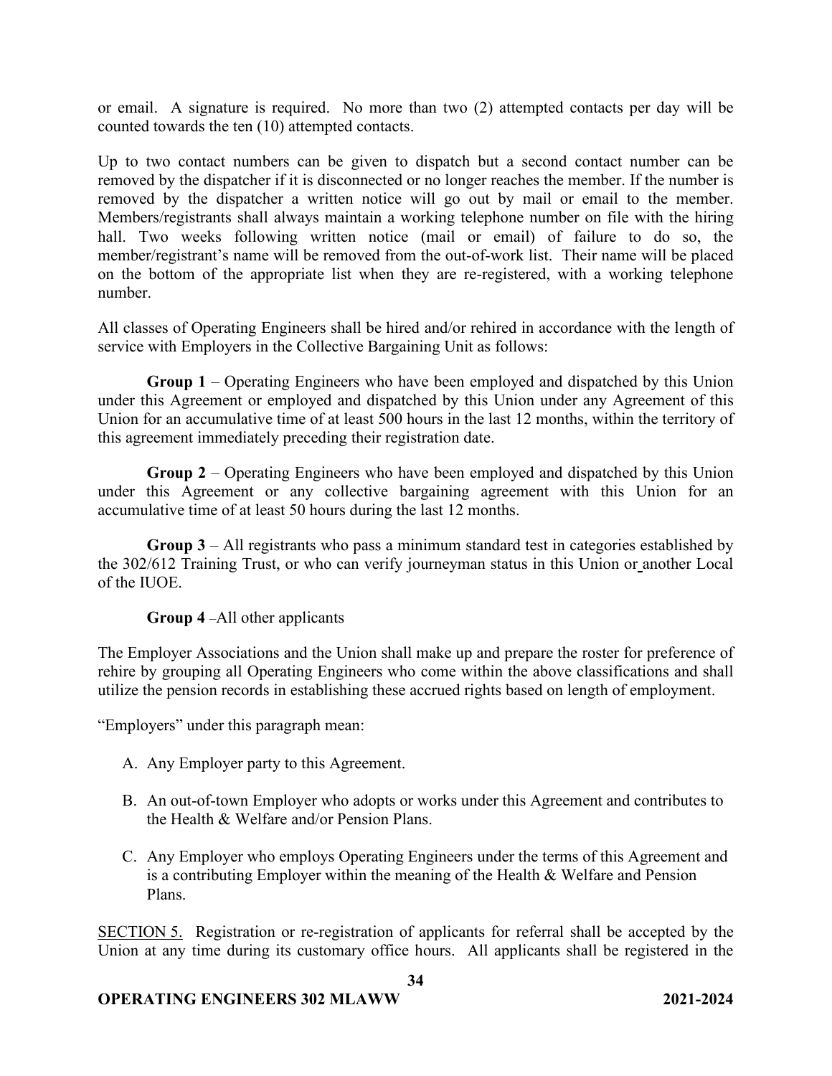or email. A signature is required. No more than two (2) attempted contacts per day will be counted towards the ten (10) attempted contacts.

Up to two contact numbers can be given to dispatch but a second contact number can be removed by the dispatcher if it is disconnected or no longer reaches the member. If the number is removed by the dispatcher a written notice will go out by mail or email to the member. Members/registrants shall always maintain a working telephone number on file with the hiring hall. Two weeks following written notice (mail or email) of failure to do so, the member/registrant's name will be removed from the out-of-work list. Their name will be placed on the bottom of the appropriate list when they are re-registered, with a working telephone number.

All classes of Operating Engineers shall be hired and/or rehired in accordance with the length of service with Employers in the Collective Bargaining Unit as follows:

**Group 1** – Operating Engineers who have been employed and dispatched by this Union under this Agreement or employed and dispatched by this Union under any Agreement of this Union for an accumulative time of at least 500 hours in the last 12 months, within the territory of this agreement immediately preceding their registration date.

**Group 2** – Operating Engineers who have been employed and dispatched by this Union under this Agreement or any collective bargaining agreement with this Union for an accumulative time of at least 50 hours during the last 12 months.

**Group 3** – All registrants who pass a minimum standard test in categories established by the 302/612 Training Trust, or who can verify journeyman status in this Union or another Local of the IUOE.

## **Group 4** –All other applicants

The Employer Associations and the Union shall make up and prepare the roster for preference of rehire by grouping all Operating Engineers who come within the above classifications and shall utilize the pension records in establishing these accrued rights based on length of employment.

"Employers" under this paragraph mean:

- A. Any Employer party to this Agreement.
- B. An out-of-town Employer who adopts or works under this Agreement and contributes to the Health & Welfare and/or Pension Plans.
- C. Any Employer who employs Operating Engineers under the terms of this Agreement and is a contributing Employer within the meaning of the Health & Welfare and Pension Plans.

SECTION 5. Registration or re-registration of applicants for referral shall be accepted by the Union at any time during its customary office hours. All applicants shall be registered in the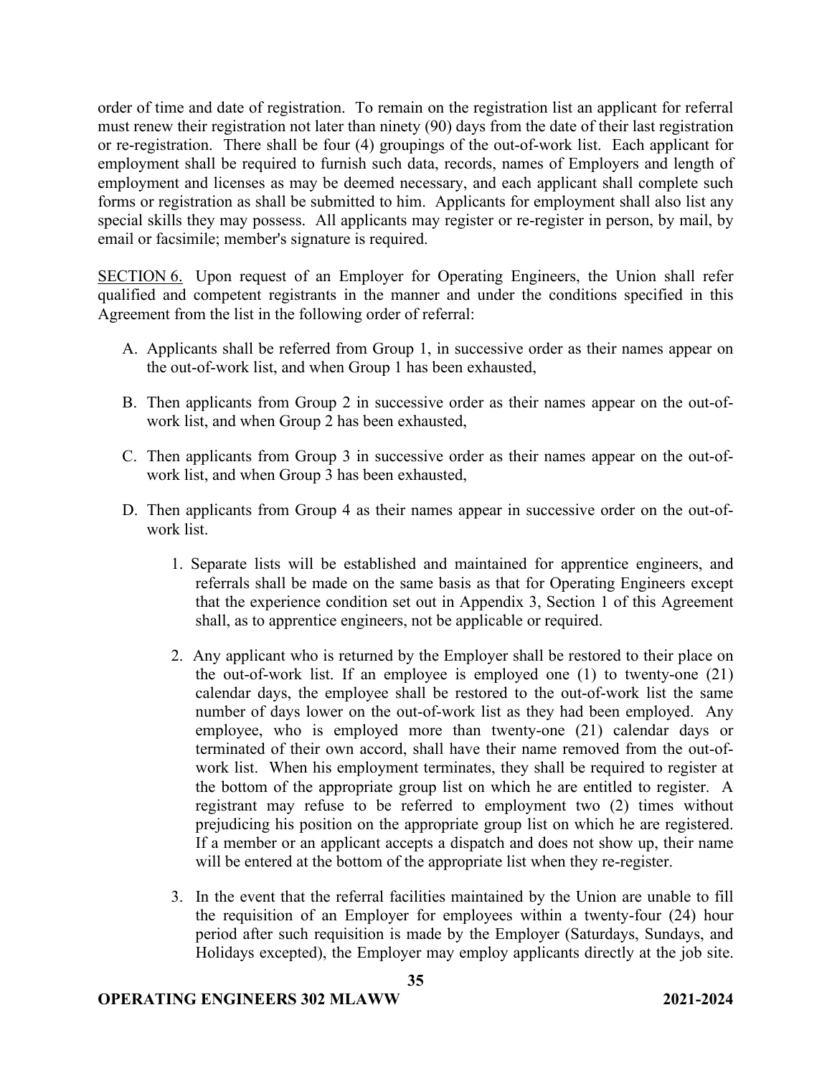order of time and date of registration. To remain on the registration list an applicant for referral must renew their registration not later than ninety (90) days from the date of their last registration or re-registration. There shall be four (4) groupings of the out-of-work list. Each applicant for employment shall be required to furnish such data, records, names of Employers and length of employment and licenses as may be deemed necessary, and each applicant shall complete such forms or registration as shall be submitted to him. Applicants for employment shall also list any special skills they may possess. All applicants may register or re-register in person, by mail, by email or facsimile; member's signature is required.

SECTION 6. Upon request of an Employer for Operating Engineers, the Union shall refer qualified and competent registrants in the manner and under the conditions specified in this Agreement from the list in the following order of referral:

- A. Applicants shall be referred from Group 1, in successive order as their names appear on the out-of-work list, and when Group 1 has been exhausted,
- B. Then applicants from Group 2 in successive order as their names appear on the out-ofwork list, and when Group 2 has been exhausted,
- C. Then applicants from Group 3 in successive order as their names appear on the out-ofwork list, and when Group 3 has been exhausted,
- D. Then applicants from Group 4 as their names appear in successive order on the out-ofwork list.
	- 1. Separate lists will be established and maintained for apprentice engineers, and referrals shall be made on the same basis as that for Operating Engineers except that the experience condition set out in Appendix 3, Section 1 of this Agreement shall, as to apprentice engineers, not be applicable or required.
	- 2. Any applicant who is returned by the Employer shall be restored to their place on the out-of-work list. If an employee is employed one (1) to twenty-one (21) calendar days, the employee shall be restored to the out-of-work list the same number of days lower on the out-of-work list as they had been employed. Any employee, who is employed more than twenty-one (21) calendar days or terminated of their own accord, shall have their name removed from the out-ofwork list. When his employment terminates, they shall be required to register at the bottom of the appropriate group list on which he are entitled to register. A registrant may refuse to be referred to employment two (2) times without prejudicing his position on the appropriate group list on which he are registered. If a member or an applicant accepts a dispatch and does not show up, their name will be entered at the bottom of the appropriate list when they re-register.
	- 3. In the event that the referral facilities maintained by the Union are unable to fill the requisition of an Employer for employees within a twenty-four (24) hour period after such requisition is made by the Employer (Saturdays, Sundays, and Holidays excepted), the Employer may employ applicants directly at the job site.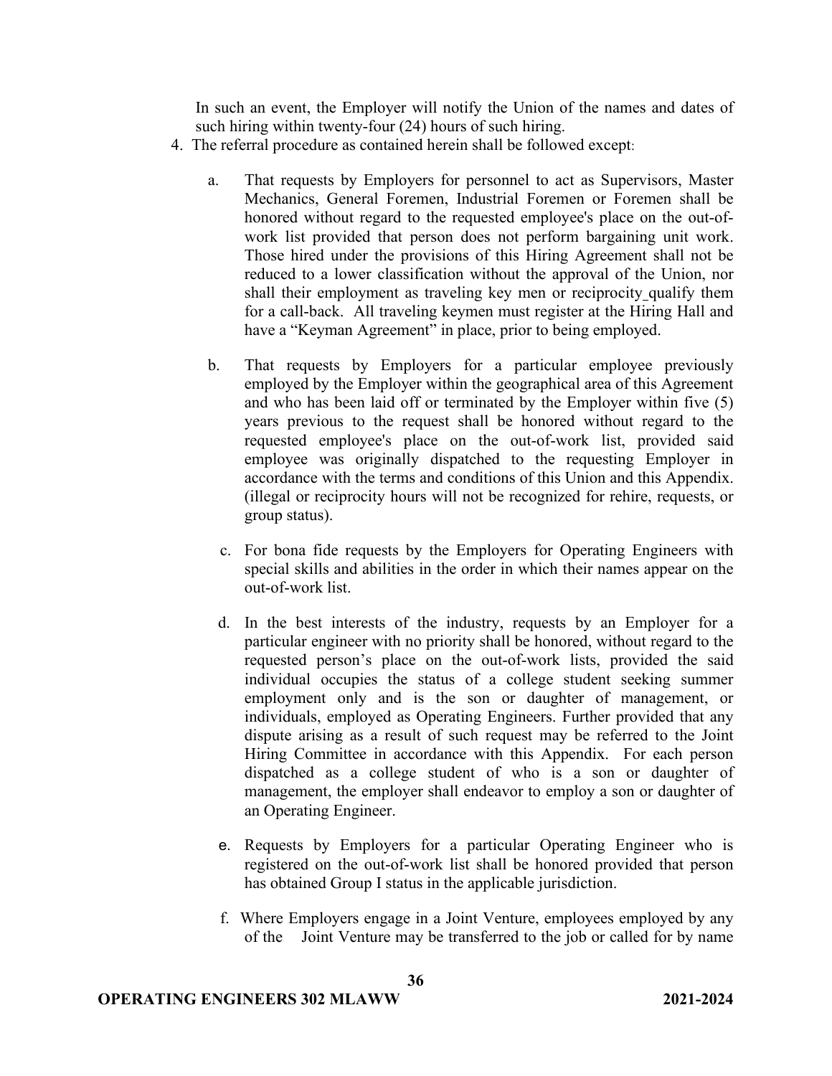In such an event, the Employer will notify the Union of the names and dates of such hiring within twenty-four (24) hours of such hiring.

- 4. The referral procedure as contained herein shall be followed except:
	- a. That requests by Employers for personnel to act as Supervisors, Master Mechanics, General Foremen, Industrial Foremen or Foremen shall be honored without regard to the requested employee's place on the out-ofwork list provided that person does not perform bargaining unit work. Those hired under the provisions of this Hiring Agreement shall not be reduced to a lower classification without the approval of the Union, nor shall their employment as traveling key men or reciprocity qualify them for a call-back. All traveling keymen must register at the Hiring Hall and have a "Keyman Agreement" in place, prior to being employed.
	- b. That requests by Employers for a particular employee previously employed by the Employer within the geographical area of this Agreement and who has been laid off or terminated by the Employer within five (5) years previous to the request shall be honored without regard to the requested employee's place on the out-of-work list, provided said employee was originally dispatched to the requesting Employer in accordance with the terms and conditions of this Union and this Appendix. (illegal or reciprocity hours will not be recognized for rehire, requests, or group status).
		- c. For bona fide requests by the Employers for Operating Engineers with special skills and abilities in the order in which their names appear on the out-of-work list.
		- d. In the best interests of the industry, requests by an Employer for a particular engineer with no priority shall be honored, without regard to the requested person's place on the out-of-work lists, provided the said individual occupies the status of a college student seeking summer employment only and is the son or daughter of management, or individuals, employed as Operating Engineers. Further provided that any dispute arising as a result of such request may be referred to the Joint Hiring Committee in accordance with this Appendix. For each person dispatched as a college student of who is a son or daughter of management, the employer shall endeavor to employ a son or daughter of an Operating Engineer.
		- e. Requests by Employers for a particular Operating Engineer who is registered on the out-of-work list shall be honored provided that person has obtained Group I status in the applicable jurisdiction.
		- f. Where Employers engage in a Joint Venture, employees employed by any of the Joint Venture may be transferred to the job or called for by name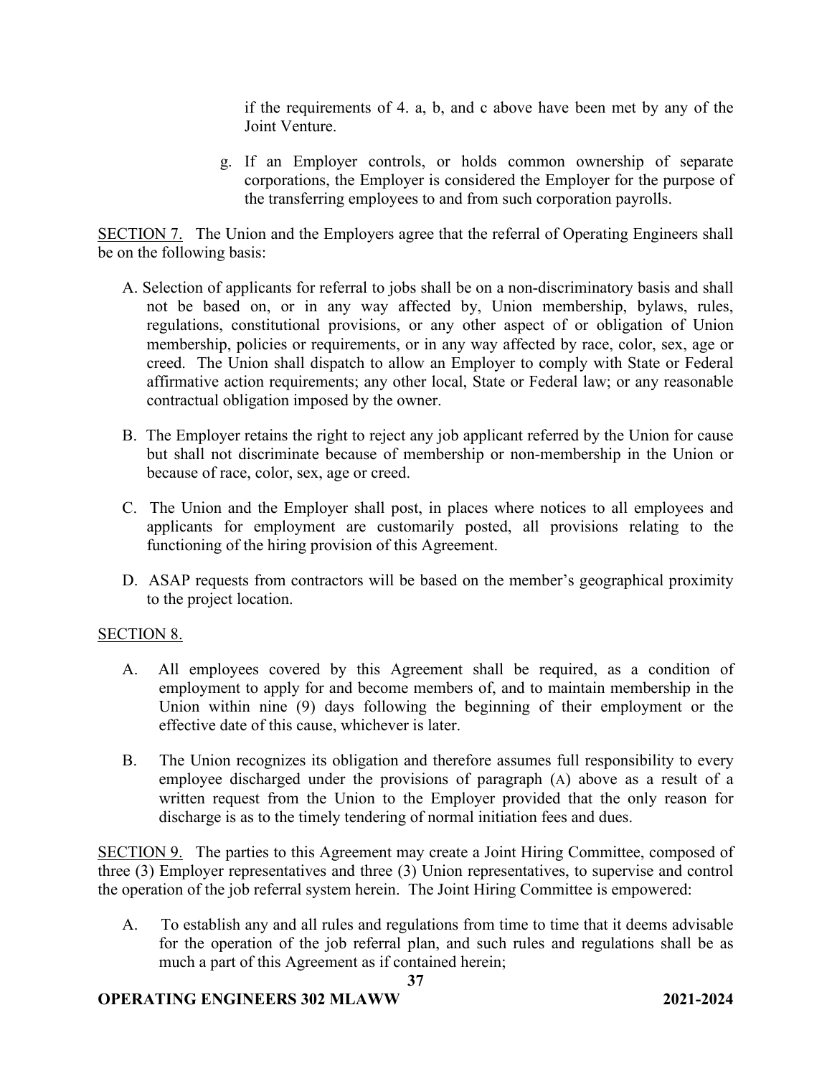if the requirements of 4. a, b, and c above have been met by any of the Joint Venture.

g. If an Employer controls, or holds common ownership of separate corporations, the Employer is considered the Employer for the purpose of the transferring employees to and from such corporation payrolls.

SECTION 7. The Union and the Employers agree that the referral of Operating Engineers shall be on the following basis:

- A. Selection of applicants for referral to jobs shall be on a non-discriminatory basis and shall not be based on, or in any way affected by, Union membership, bylaws, rules, regulations, constitutional provisions, or any other aspect of or obligation of Union membership, policies or requirements, or in any way affected by race, color, sex, age or creed. The Union shall dispatch to allow an Employer to comply with State or Federal affirmative action requirements; any other local, State or Federal law; or any reasonable contractual obligation imposed by the owner.
- B. The Employer retains the right to reject any job applicant referred by the Union for cause but shall not discriminate because of membership or non-membership in the Union or because of race, color, sex, age or creed.
- C. The Union and the Employer shall post, in places where notices to all employees and applicants for employment are customarily posted, all provisions relating to the functioning of the hiring provision of this Agreement.
- D. ASAP requests from contractors will be based on the member's geographical proximity to the project location.

# SECTION 8.

- A. All employees covered by this Agreement shall be required, as a condition of employment to apply for and become members of, and to maintain membership in the Union within nine (9) days following the beginning of their employment or the effective date of this cause, whichever is later.
- B. The Union recognizes its obligation and therefore assumes full responsibility to every employee discharged under the provisions of paragraph (A) above as a result of a written request from the Union to the Employer provided that the only reason for discharge is as to the timely tendering of normal initiation fees and dues.

SECTION 9. The parties to this Agreement may create a Joint Hiring Committee, composed of three (3) Employer representatives and three (3) Union representatives, to supervise and control the operation of the job referral system herein. The Joint Hiring Committee is empowered:

A. To establish any and all rules and regulations from time to time that it deems advisable for the operation of the job referral plan, and such rules and regulations shall be as much a part of this Agreement as if contained herein;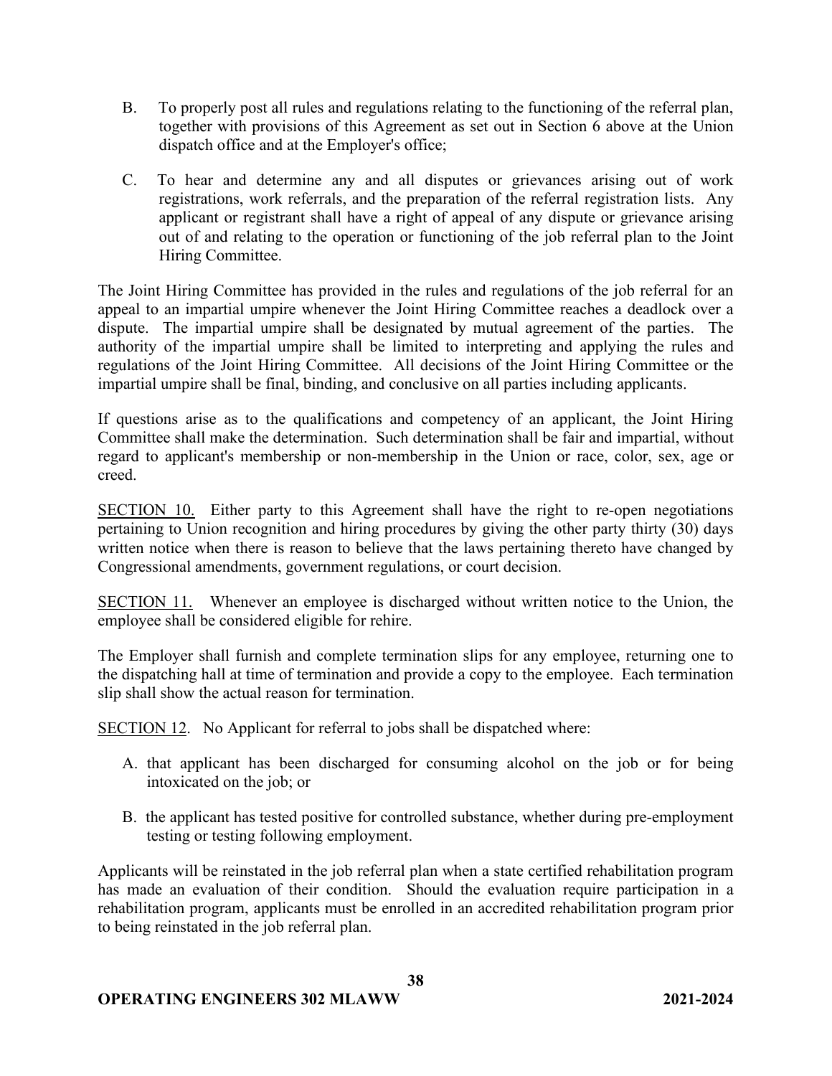- B. To properly post all rules and regulations relating to the functioning of the referral plan, together with provisions of this Agreement as set out in Section 6 above at the Union dispatch office and at the Employer's office;
- C. To hear and determine any and all disputes or grievances arising out of work registrations, work referrals, and the preparation of the referral registration lists. Any applicant or registrant shall have a right of appeal of any dispute or grievance arising out of and relating to the operation or functioning of the job referral plan to the Joint Hiring Committee.

The Joint Hiring Committee has provided in the rules and regulations of the job referral for an appeal to an impartial umpire whenever the Joint Hiring Committee reaches a deadlock over a dispute. The impartial umpire shall be designated by mutual agreement of the parties. The authority of the impartial umpire shall be limited to interpreting and applying the rules and regulations of the Joint Hiring Committee. All decisions of the Joint Hiring Committee or the impartial umpire shall be final, binding, and conclusive on all parties including applicants.

If questions arise as to the qualifications and competency of an applicant, the Joint Hiring Committee shall make the determination. Such determination shall be fair and impartial, without regard to applicant's membership or non-membership in the Union or race, color, sex, age or creed.

SECTION 10.Either party to this Agreement shall have the right to re-open negotiations pertaining to Union recognition and hiring procedures by giving the other party thirty (30) days written notice when there is reason to believe that the laws pertaining thereto have changed by Congressional amendments, government regulations, or court decision.

SECTION 11.Whenever an employee is discharged without written notice to the Union, the employee shall be considered eligible for rehire.

The Employer shall furnish and complete termination slips for any employee, returning one to the dispatching hall at time of termination and provide a copy to the employee. Each termination slip shall show the actual reason for termination.

SECTION 12. No Applicant for referral to jobs shall be dispatched where:

- A. that applicant has been discharged for consuming alcohol on the job or for being intoxicated on the job; or
- B. the applicant has tested positive for controlled substance, whether during pre-employment testing or testing following employment.

Applicants will be reinstated in the job referral plan when a state certified rehabilitation program has made an evaluation of their condition. Should the evaluation require participation in a rehabilitation program, applicants must be enrolled in an accredited rehabilitation program prior to being reinstated in the job referral plan.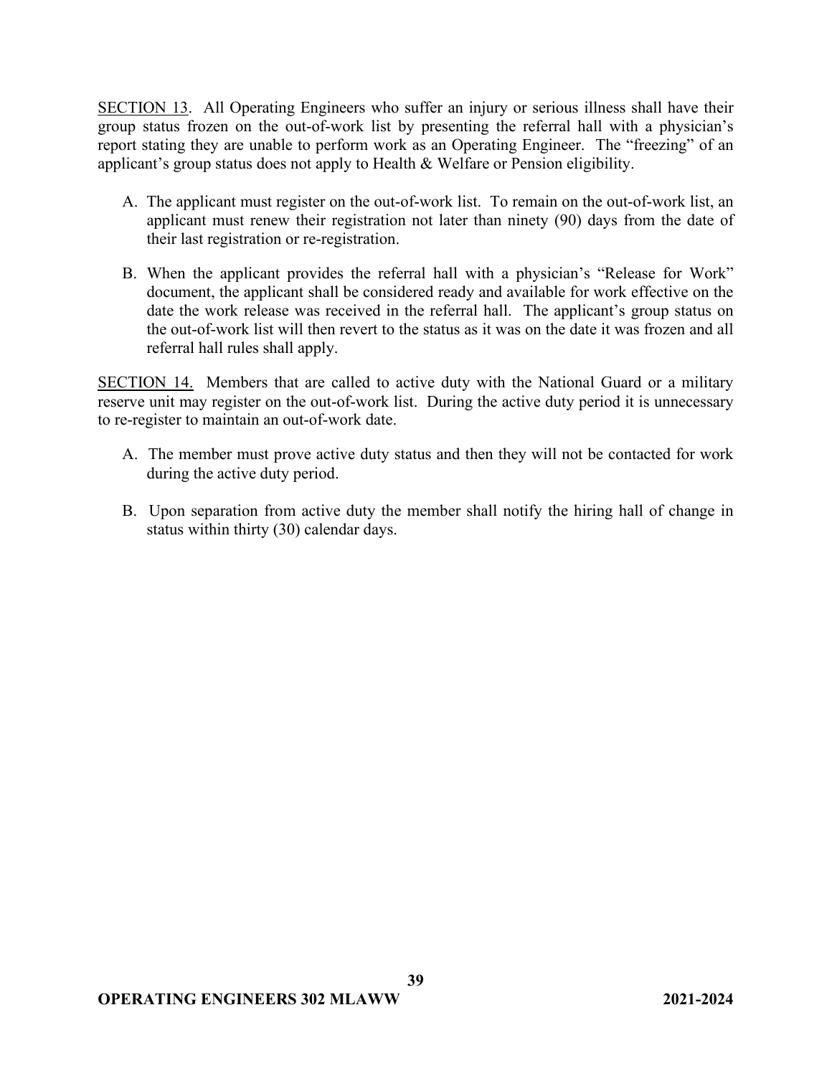SECTION 13. All Operating Engineers who suffer an injury or serious illness shall have their group status frozen on the out-of-work list by presenting the referral hall with a physician's report stating they are unable to perform work as an Operating Engineer. The "freezing" of an applicant's group status does not apply to Health & Welfare or Pension eligibility.

- A. The applicant must register on the out-of-work list. To remain on the out-of-work list, an applicant must renew their registration not later than ninety (90) days from the date of their last registration or re-registration.
- B. When the applicant provides the referral hall with a physician's "Release for Work" document, the applicant shall be considered ready and available for work effective on the date the work release was received in the referral hall. The applicant's group status on the out-of-work list will then revert to the status as it was on the date it was frozen and all referral hall rules shall apply.

SECTION 14. Members that are called to active duty with the National Guard or a military reserve unit may register on the out-of-work list. During the active duty period it is unnecessary to re-register to maintain an out-of-work date.

- A. The member must prove active duty status and then they will not be contacted for work during the active duty period.
- B. Upon separation from active duty the member shall notify the hiring hall of change in status within thirty (30) calendar days.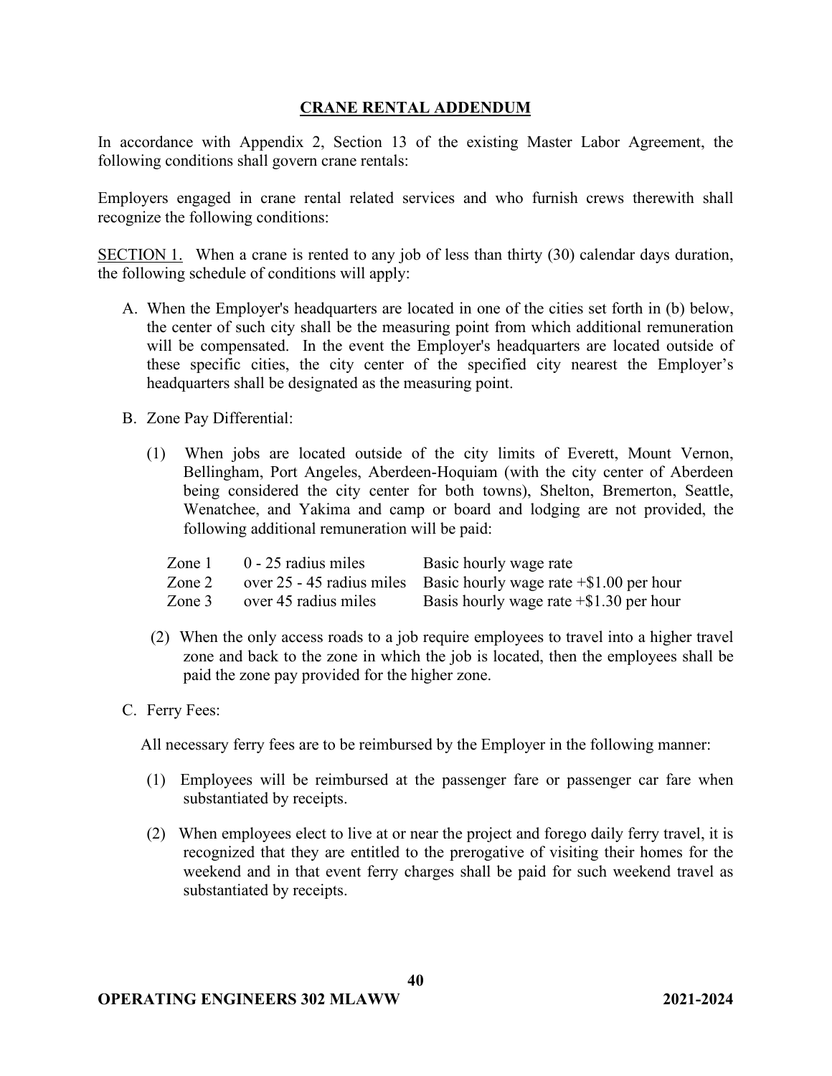## **CRANE RENTAL ADDENDUM**

In accordance with Appendix 2, Section 13 of the existing Master Labor Agreement, the following conditions shall govern crane rentals:

Employers engaged in crane rental related services and who furnish crews therewith shall recognize the following conditions:

SECTION 1. When a crane is rented to any job of less than thirty (30) calendar days duration, the following schedule of conditions will apply:

- A. When the Employer's headquarters are located in one of the cities set forth in (b) below, the center of such city shall be the measuring point from which additional remuneration will be compensated. In the event the Employer's headquarters are located outside of these specific cities, the city center of the specified city nearest the Employer's headquarters shall be designated as the measuring point.
- B. Zone Pay Differential:
	- (1) When jobs are located outside of the city limits of Everett, Mount Vernon, Bellingham, Port Angeles, Aberdeen-Hoquiam (with the city center of Aberdeen being considered the city center for both towns), Shelton, Bremerton, Seattle, Wenatchee, and Yakima and camp or board and lodging are not provided, the following additional remuneration will be paid:

| Zone 1 | 0 - 25 radius miles  | Basic hourly wage rate                                                 |
|--------|----------------------|------------------------------------------------------------------------|
| Zone 2 |                      | over 25 - 45 radius miles Basic hourly wage rate $\pm$ \$1.00 per hour |
| Zone 3 | over 45 radius miles | Basis hourly wage rate $+$ \$1.30 per hour                             |

- (2) When the only access roads to a job require employees to travel into a higher travel zone and back to the zone in which the job is located, then the employees shall be paid the zone pay provided for the higher zone.
- C. Ferry Fees:

All necessary ferry fees are to be reimbursed by the Employer in the following manner:

- (1) Employees will be reimbursed at the passenger fare or passenger car fare when substantiated by receipts.
- (2) When employees elect to live at or near the project and forego daily ferry travel, it is recognized that they are entitled to the prerogative of visiting their homes for the weekend and in that event ferry charges shall be paid for such weekend travel as substantiated by receipts.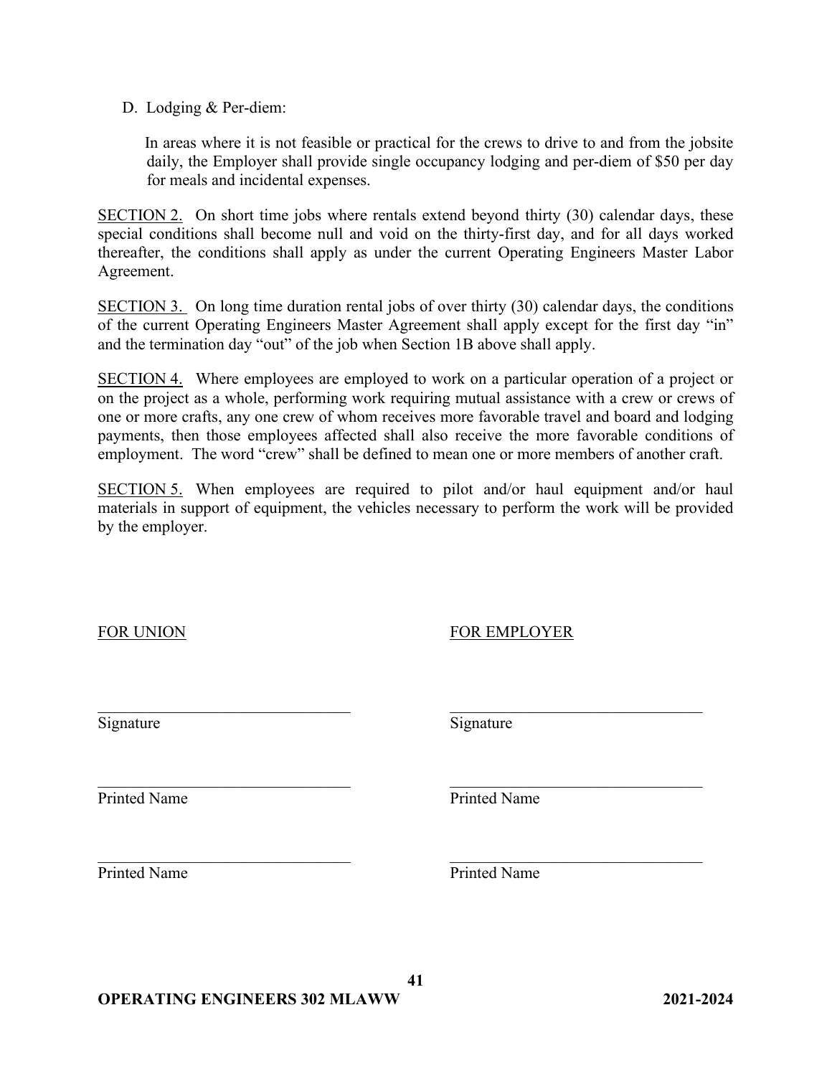D. Lodging & Per-diem:

In areas where it is not feasible or practical for the crews to drive to and from the jobsite daily, the Employer shall provide single occupancy lodging and per-diem of \$50 per day for meals and incidental expenses.

SECTION 2. On short time jobs where rentals extend beyond thirty (30) calendar days, these special conditions shall become null and void on the thirty-first day, and for all days worked thereafter, the conditions shall apply as under the current Operating Engineers Master Labor Agreement.

SECTION 3. On long time duration rental jobs of over thirty (30) calendar days, the conditions of the current Operating Engineers Master Agreement shall apply except for the first day "in" and the termination day "out" of the job when Section 1B above shall apply.

SECTION 4. Where employees are employed to work on a particular operation of a project or on the project as a whole, performing work requiring mutual assistance with a crew or crews of one or more crafts, any one crew of whom receives more favorable travel and board and lodging payments, then those employees affected shall also receive the more favorable conditions of employment. The word "crew" shall be defined to mean one or more members of another craft.

SECTION 5. When employees are required to pilot and/or haul equipment and/or haul materials in support of equipment, the vehicles necessary to perform the work will be provided by the employer.

 $\frac{1}{2}$  ,  $\frac{1}{2}$  ,  $\frac{1}{2}$  ,  $\frac{1}{2}$  ,  $\frac{1}{2}$  ,  $\frac{1}{2}$  ,  $\frac{1}{2}$  ,  $\frac{1}{2}$  ,  $\frac{1}{2}$  ,  $\frac{1}{2}$  ,  $\frac{1}{2}$  ,  $\frac{1}{2}$  ,  $\frac{1}{2}$  ,  $\frac{1}{2}$  ,  $\frac{1}{2}$  ,  $\frac{1}{2}$  ,  $\frac{1}{2}$  ,  $\frac{1}{2}$  ,  $\frac{1$ 

FOR UNION FOR EMPLOYER

Signature Signature Signature

 $\_$  , and the contribution of the contribution of  $\_$  , and  $\_$  , and  $\_$  , and  $\_$  , and  $\_$  ,  $\_$  ,  $\_$  ,  $\_$ Printed Name Printed Name

Printed Name Printed Name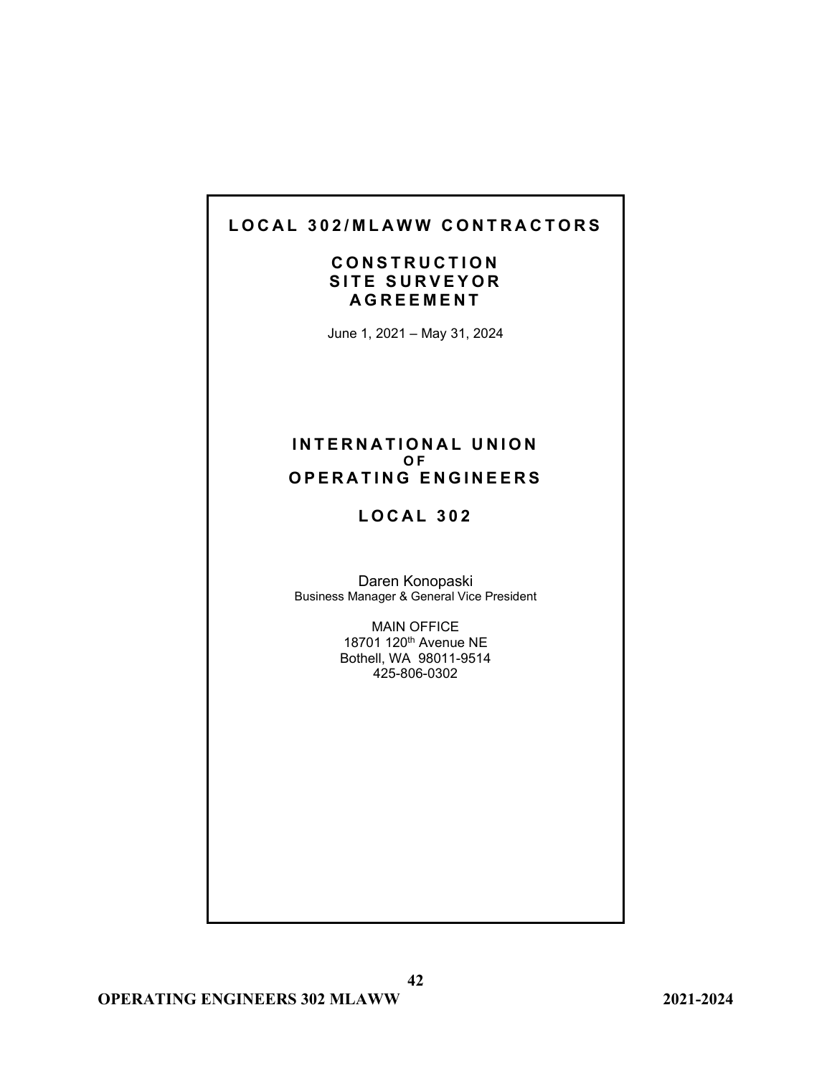# **L O CAL 302/MLAWW CONTRACTORS**

# **CONSTRUCTION SITE SUR VEYOR AGREEMENT**

June 1, 2021 – May 31, 2024

### **INTERNATIONAL UNION O F OPERATING ENGINEERS**

# **LOCAL 302**

Daren Konopaski Business Manager & General Vice President

> MAIN OFFICE 18701 120th Avenue NE Bothell, WA 98011-9514 425-806-0302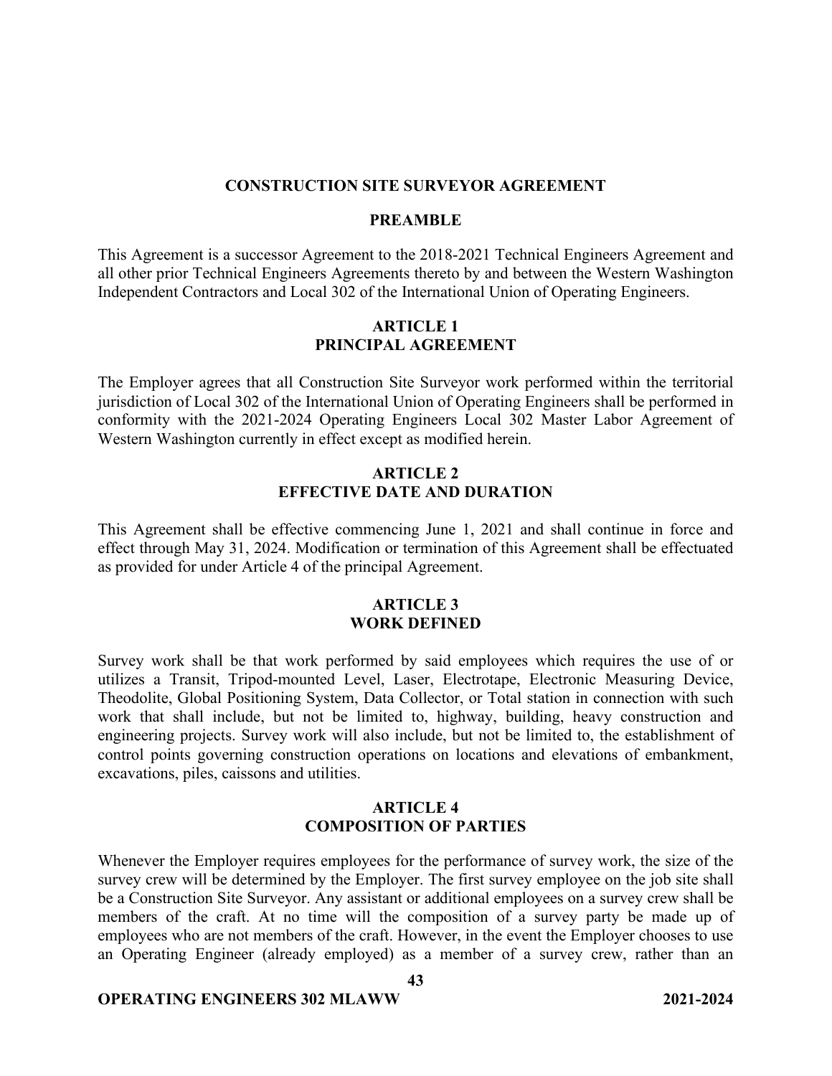#### **CONSTRUCTION SITE SURVEYOR AGREEMENT**

#### **PREAMBLE**

This Agreement is a successor Agreement to the 2018-2021 Technical Engineers Agreement and all other prior Technical Engineers Agreements thereto by and between the Western Washington Independent Contractors and Local 302 of the International Union of Operating Engineers.

### **ARTICLE 1 PRINCIPAL AGREEMENT**

The Employer agrees that all Construction Site Surveyor work performed within the territorial jurisdiction of Local 302 of the International Union of Operating Engineers shall be performed in conformity with the 2021-2024 Operating Engineers Local 302 Master Labor Agreement of Western Washington currently in effect except as modified herein.

### **ARTICLE 2 EFFECTIVE DATE AND DURATION**

This Agreement shall be effective commencing June 1, 2021 and shall continue in force and effect through May 31, 2024. Modification or termination of this Agreement shall be effectuated as provided for under Article 4 of the principal Agreement.

## **ARTICLE 3 WORK DEFINED**

Survey work shall be that work performed by said employees which requires the use of or utilizes a Transit, Tripod-mounted Level, Laser, Electrotape, Electronic Measuring Device, Theodolite, Global Positioning System, Data Collector, or Total station in connection with such work that shall include, but not be limited to, highway, building, heavy construction and engineering projects. Survey work will also include, but not be limited to, the establishment of control points governing construction operations on locations and elevations of embankment, excavations, piles, caissons and utilities.

### **ARTICLE 4 COMPOSITION OF PARTIES**

Whenever the Employer requires employees for the performance of survey work, the size of the survey crew will be determined by the Employer. The first survey employee on the job site shall be a Construction Site Surveyor. Any assistant or additional employees on a survey crew shall be members of the craft. At no time will the composition of a survey party be made up of employees who are not members of the craft. However, in the event the Employer chooses to use an Operating Engineer (already employed) as a member of a survey crew, rather than an

**43**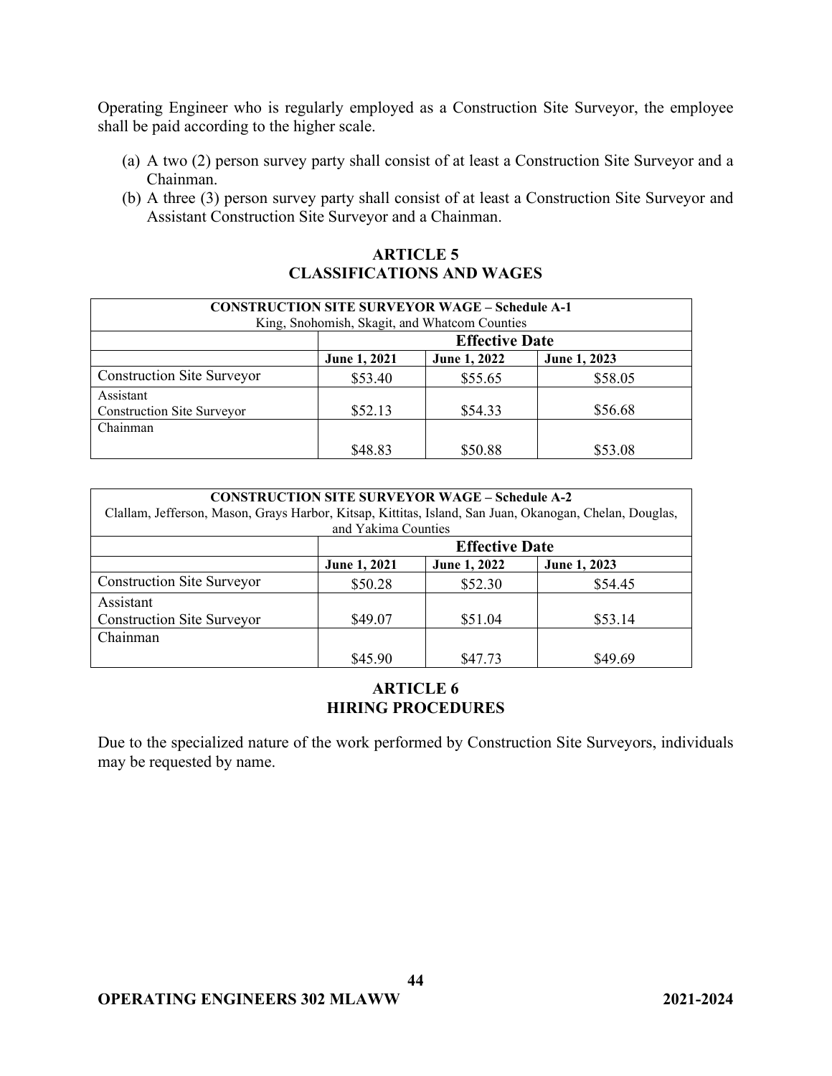Operating Engineer who is regularly employed as a Construction Site Surveyor, the employee shall be paid according to the higher scale.

- (a) A two (2) person survey party shall consist of at least a Construction Site Surveyor and a Chainman.
- (b) A three (3) person survey party shall consist of at least a Construction Site Surveyor and Assistant Construction Site Surveyor and a Chainman.

## **ARTICLE 5 CLASSIFICATIONS AND WAGES**

| <b>CONSTRUCTION SITE SURVEYOR WAGE – Schedule A-1</b> |                       |              |              |
|-------------------------------------------------------|-----------------------|--------------|--------------|
| King, Snohomish, Skagit, and Whatcom Counties         |                       |              |              |
|                                                       | <b>Effective Date</b> |              |              |
|                                                       | June 1, 2021          | June 1, 2022 | June 1, 2023 |
| <b>Construction Site Surveyor</b>                     | \$53.40               | \$55.65      | \$58.05      |
| Assistant<br><b>Construction Site Surveyor</b>        | \$52.13               | \$54.33      | \$56.68      |
| Chainman                                              |                       |              |              |
|                                                       | \$48.83               | \$50.88      | \$53.08      |

| <b>CONSTRUCTION SITE SURVEYOR WAGE – Schedule A-2</b><br>Clallam, Jefferson, Mason, Grays Harbor, Kitsap, Kittitas, Island, San Juan, Okanogan, Chelan, Douglas, |                       |              |              |
|------------------------------------------------------------------------------------------------------------------------------------------------------------------|-----------------------|--------------|--------------|
| and Yakima Counties                                                                                                                                              |                       |              |              |
|                                                                                                                                                                  | <b>Effective Date</b> |              |              |
|                                                                                                                                                                  | June 1, 2021          | June 1, 2022 | June 1, 2023 |
| <b>Construction Site Surveyor</b>                                                                                                                                | \$50.28               | \$52.30      | \$54.45      |
| Assistant                                                                                                                                                        |                       |              |              |
| <b>Construction Site Surveyor</b>                                                                                                                                | \$49.07               | \$51.04      | \$53.14      |
| Chainman                                                                                                                                                         |                       |              |              |
|                                                                                                                                                                  | \$45.90               | \$47.73      | \$49.69      |

## **ARTICLE 6 HIRING PROCEDURES**

Due to the specialized nature of the work performed by Construction Site Surveyors, individuals may be requested by name.